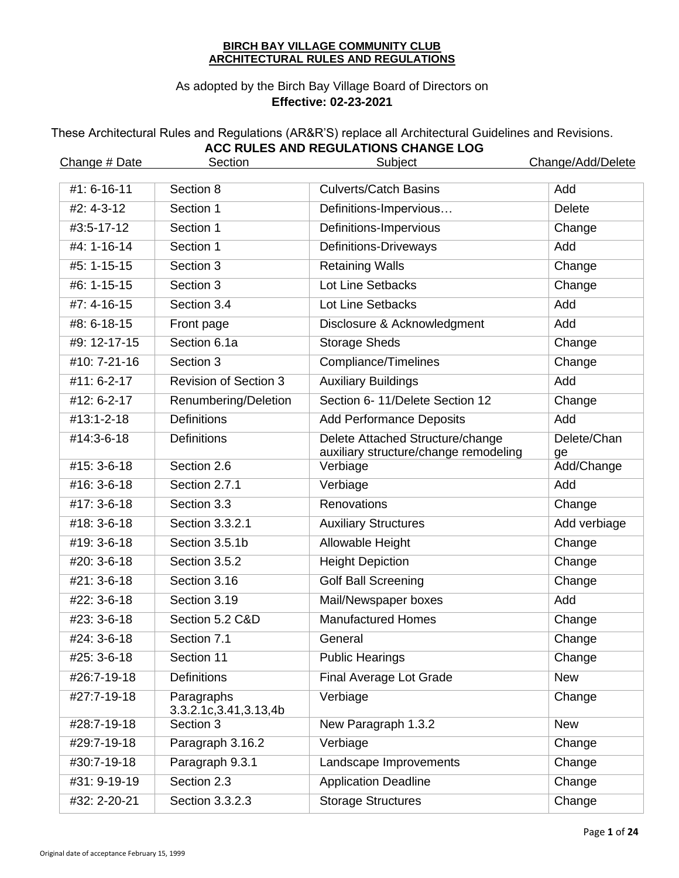#### **BIRCH BAY VILLAGE COMMUNITY CLUB ARCHITECTURAL RULES AND REGULATIONS**

# As adopted by the Birch Bay Village Board of Directors on **Effective: 02-23-2021**

# These Architectural Rules and Regulations (AR&R'S) replace all Architectural Guidelines and Revisions. **ACC RULES AND REGULATIONS CHANGE LOG**

| Change # Date     | Section                                | Subject                                                                   | Change/Add/Delete |
|-------------------|----------------------------------------|---------------------------------------------------------------------------|-------------------|
| #1: 6-16-11       | Section 8                              | <b>Culverts/Catch Basins</b>                                              | Add               |
| #2: 4-3-12        | Section 1                              | Definitions-Impervious                                                    | <b>Delete</b>     |
| #3:5-17-12        | Section 1                              | Definitions-Impervious                                                    | Change            |
| $#4: 1 - 16 - 14$ | Section 1                              | <b>Definitions-Driveways</b>                                              | Add               |
| #5: 1-15-15       | Section 3                              | <b>Retaining Walls</b>                                                    | Change            |
| #6: 1-15-15       | Section 3                              | Lot Line Setbacks                                                         | Change            |
| #7: 4-16-15       | Section 3.4                            | Lot Line Setbacks                                                         | Add               |
| #8: 6-18-15       | Front page                             | Disclosure & Acknowledgment                                               | Add               |
| #9: 12-17-15      | Section 6.1a                           | <b>Storage Sheds</b>                                                      | Change            |
| #10: 7-21-16      | Section 3                              | Compliance/Timelines                                                      | Change            |
| #11: 6-2-17       | <b>Revision of Section 3</b>           | <b>Auxiliary Buildings</b>                                                | Add               |
| #12: 6-2-17       | Renumbering/Deletion                   | Section 6-11/Delete Section 12                                            | Change            |
| #13:1-2-18        | <b>Definitions</b>                     | <b>Add Performance Deposits</b>                                           | Add               |
| #14:3-6-18        | <b>Definitions</b>                     | Delete Attached Structure/change<br>auxiliary structure/change remodeling | Delete/Chan<br>ge |
| #15: 3-6-18       | Section 2.6                            | Verbiage                                                                  | Add/Change        |
| #16: 3-6-18       | Section 2.7.1                          | Verbiage                                                                  | Add               |
| #17: 3-6-18       | Section 3.3                            | Renovations                                                               | Change            |
| #18: 3-6-18       | Section 3.3.2.1                        | <b>Auxiliary Structures</b>                                               | Add verbiage      |
| #19: 3-6-18       | Section 3.5.1b                         | <b>Allowable Height</b>                                                   | Change            |
| #20: 3-6-18       | Section 3.5.2                          | <b>Height Depiction</b>                                                   | Change            |
| #21: 3-6-18       | Section 3.16                           | <b>Golf Ball Screening</b>                                                | Change            |
| #22: 3-6-18       | Section 3.19                           | Mail/Newspaper boxes                                                      | Add               |
| #23: 3-6-18       | Section 5.2 C&D                        | <b>Manufactured Homes</b>                                                 | Change            |
| $#24:3-6-18$      | Section 7.1                            | General                                                                   | Change            |
| #25: 3-6-18       | Section 11                             | <b>Public Hearings</b>                                                    | Change            |
| #26:7-19-18       | <b>Definitions</b>                     | <b>Final Average Lot Grade</b>                                            | <b>New</b>        |
| #27:7-19-18       | Paragraphs<br>3.3.2.1c, 3.41, 3.13, 4b | Verbiage                                                                  | Change            |
| #28:7-19-18       | Section 3                              | New Paragraph 1.3.2                                                       | <b>New</b>        |
| #29:7-19-18       | Paragraph 3.16.2                       | Verbiage                                                                  | Change            |
| #30:7-19-18       | Paragraph 9.3.1                        | Landscape Improvements                                                    | Change            |
| #31: 9-19-19      | Section 2.3                            | <b>Application Deadline</b>                                               | Change            |
| #32: 2-20-21      | Section 3.3.2.3                        | <b>Storage Structures</b>                                                 | Change            |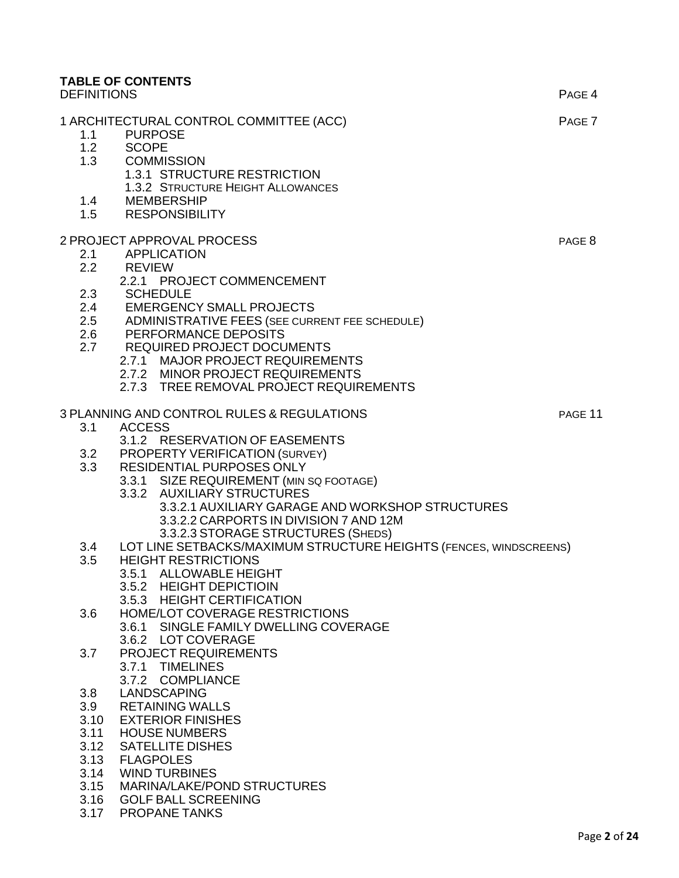# **TABLE OF CONTENTS**  DEFINITIONS PAGE 4 1 ARCHITECTURAL CONTROL COMMITTEE (ACC) PAGE 7 1.1 PURPOSE 1.2 SCOPE

- 1.3 COMMISSION 1.3.1 STRUCTURE RESTRICTION 1.3.2 STRUCTURE HEIGHT ALLOWANCES
- 1.4 MEMBERSHIP 1.5 RESPONSIBILITY
- 

# 2 PROJECT APPROVAL PROCESS PAGE 8

- 2.1 APPLICATION
- 2.2 REVIEW
	- 2.2.1 PROJECT COMMENCEMENT
- 2.3 SCHEDULE
- 2.4 EMERGENCY SMALL PROJECTS
- 2.5 ADMINISTRATIVE FEES (SEE CURRENT FEE SCHEDULE)
- 2.6 PERFORMANCE DEPOSITS
- 2.7 REQUIRED PROJECT DOCUMENTS
	- 2.7.1 MAJOR PROJECT REQUIREMENTS
	- 2.7.2 MINOR PROJECT REQUIREMENTS
	- 2.7.3 TREE REMOVAL PROJECT REQUIREMENTS

# 3 PLANNING AND CONTROL RULES & REGULATIONS THE REST RANGE 11

3.1 ACCESS

3.1.2 RESERVATION OF EASEMENTS

- 3.2 PROPERTY VERIFICATION (SURVEY)
- 3.3 RESIDENTIAL PURPOSES ONLY
	- 3.3.1 SIZE REQUIREMENT (MIN SQ FOOTAGE)
	- 3.3.2 AUXILIARY STRUCTURES
		- 3.3.2.1 AUXILIARY GARAGE AND WORKSHOP STRUCTURES 3.3.2.2 CARPORTS IN DIVISION 7 AND 12M
			- 3.3.2.3 STORAGE STRUCTURES (SHEDS)
- 3.4 LOT LINE SETBACKS/MAXIMUM STRUCTURE HEIGHTS (FENCES, WINDSCREENS)
- 3.5 HEIGHT RESTRICTIONS
	- 3.5.1 ALLOWABLE HEIGHT
		- 3.5.2 HEIGHT DEPICTIOIN
	- 3.5.3 HEIGHT CERTIFICATION
- 3.6 HOME/LOT COVERAGE RESTRICTIONS
	- 3.6.1 SINGLE FAMILY DWELLING COVERAGE
	- 3.6.2 LOT COVERAGE
- 3.7 PROJECT REQUIREMENTS 3.7.1 TIMELINES
	- 3.7.2 COMPLIANCE
- 3.8 LANDSCAPING
- 3.9 RETAINING WALLS
- 3.10 EXTERIOR FINISHES
- 3.11 HOUSE NUMBERS
- 3.12 SATELLITE DISHES
- 3.13 FLAGPOLES
- 3.14 WIND TURBINES
- 3.15 MARINA/LAKE/POND STRUCTURES
- 3.16 GOLF BALL SCREENING
- 3.17 PROPANE TANKS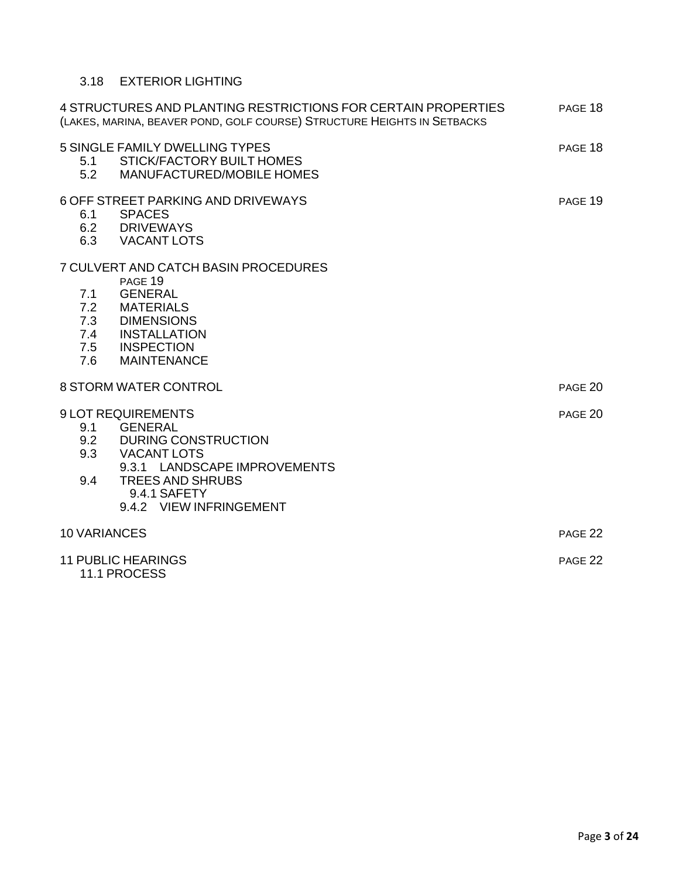# 3.18 EXTERIOR LIGHTING

|                       | 4 STRUCTURES AND PLANTING RESTRICTIONS FOR CERTAIN PROPERTIES<br>(LAKES, MARINA, BEAVER POND, GOLF COURSE) STRUCTURE HEIGHTS IN SETBACKS                                                     | PAGE 18 |
|-----------------------|----------------------------------------------------------------------------------------------------------------------------------------------------------------------------------------------|---------|
| 5.1<br>5.2            | 5 SINGLE FAMILY DWELLING TYPES<br>STICK/FACTORY BUILT HOMES<br><b>MANUFACTURED/MOBILE HOMES</b>                                                                                              | PAGE 18 |
|                       | 6 OFF STREET PARKING AND DRIVEWAYS<br>6.1 SPACES<br>6.2 DRIVEWAYS<br>6.3 VACANT LOTS                                                                                                         | PAGE 19 |
| 7.1<br>7.6            | 7 CULVERT AND CATCH BASIN PROCEDURES<br>PAGE 19<br><b>GENERAL</b><br>7.2 MATERIALS<br>7.3 DIMENSIONS<br>7.4 INSTALLATION<br>7.5 INSPECTION<br><b>MAINTENANCE</b>                             |         |
| 8 STORM WATER CONTROL |                                                                                                                                                                                              | PAGE 20 |
| 9.4                   | <b>9 LOT REQUIREMENTS</b><br>9.1 GENERAL<br>9.2 DURING CONSTRUCTION<br>9.3 VACANT LOTS<br>9.3.1 LANDSCAPE IMPROVEMENTS<br><b>TREES AND SHRUBS</b><br>9.4.1 SAFETY<br>9.4.2 VIEW INFRINGEMENT | PAGE 20 |
| <b>10 VARIANCES</b>   |                                                                                                                                                                                              | PAGE 22 |
|                       | <b>11 PUBLIC HEARINGS</b><br>11.1 PROCESS                                                                                                                                                    | PAGE 22 |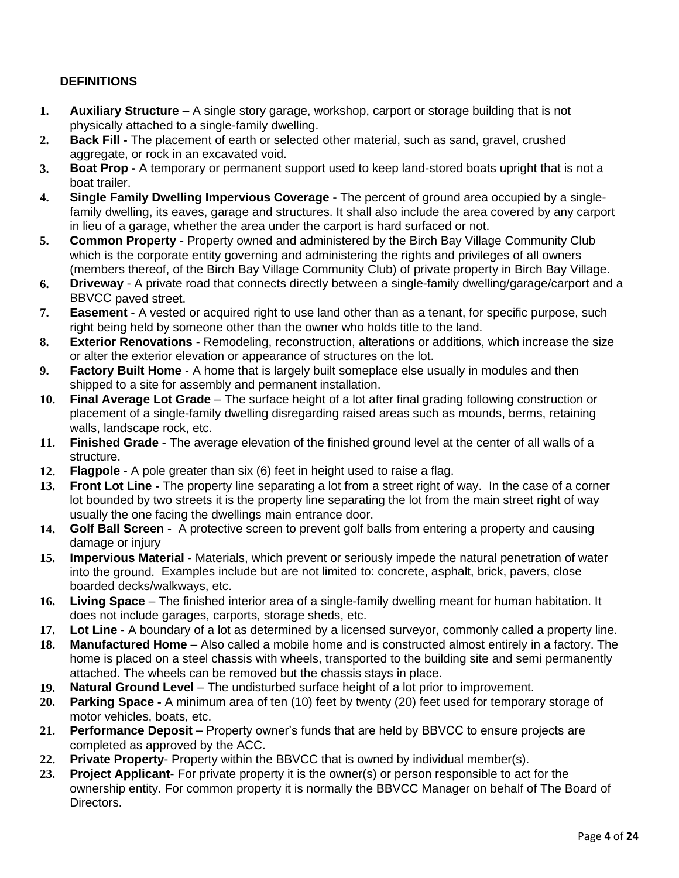# **DEFINITIONS**

- **1. Auxiliary Structure –** A single story garage, workshop, carport or storage building that is not physically attached to a single-family dwelling.
- **2. Back Fill -** The placement of earth or selected other material, such as sand, gravel, crushed aggregate, or rock in an excavated void.
- **3. Boat Prop -** A temporary or permanent support used to keep land-stored boats upright that is not a boat trailer.
- **4. Single Family Dwelling Impervious Coverage -** The percent of ground area occupied by a singlefamily dwelling, its eaves, garage and structures. It shall also include the area covered by any carport in lieu of a garage, whether the area under the carport is hard surfaced or not.
- **5. Common Property -** Property owned and administered by the Birch Bay Village Community Club which is the corporate entity governing and administering the rights and privileges of all owners (members thereof, of the Birch Bay Village Community Club) of private property in Birch Bay Village.
- **6. Driveway**  A private road that connects directly between a single-family dwelling/garage/carport and a BBVCC paved street.
- **7. Easement -** A vested or acquired right to use land other than as a tenant, for specific purpose, such right being held by someone other than the owner who holds title to the land.
- **8. Exterior Renovations**  Remodeling, reconstruction, alterations or additions, which increase the size or alter the exterior elevation or appearance of structures on the lot.
- **9. Factory Built Home**  A home that is largely built someplace else usually in modules and then shipped to a site for assembly and permanent installation.
- **10. Final Average Lot Grade**  The surface height of a lot after final grading following construction or placement of a single-family dwelling disregarding raised areas such as mounds, berms, retaining walls, landscape rock, etc.
- **11. Finished Grade -** The average elevation of the finished ground level at the center of all walls of a structure.
- **12. Flagpole -** A pole greater than six (6) feet in height used to raise a flag.
- **13. Front Lot Line -** The property line separating a lot from a street right of way. In the case of a corner lot bounded by two streets it is the property line separating the lot from the main street right of way usually the one facing the dwellings main entrance door.
- **14. Golf Ball Screen** A protective screen to prevent golf balls from entering a property and causing damage or injury
- **15. Impervious Material**  Materials, which prevent or seriously impede the natural penetration of water into the ground. Examples include but are not limited to: concrete, asphalt, brick, pavers, close boarded decks/walkways, etc.
- **16. Living Space**  The finished interior area of a single-family dwelling meant for human habitation. It does not include garages, carports, storage sheds, etc.
- **17. Lot Line**  A boundary of a lot as determined by a licensed surveyor, commonly called a property line.
- **18. Manufactured Home**  Also called a mobile home and is constructed almost entirely in a factory. The home is placed on a steel chassis with wheels, transported to the building site and semi permanently attached. The wheels can be removed but the chassis stays in place.
- **19. Natural Ground Level**  The undisturbed surface height of a lot prior to improvement.
- **20. Parking Space -** A minimum area of ten (10) feet by twenty (20) feet used for temporary storage of motor vehicles, boats, etc.
- **21. Performance Deposit –** Property owner's funds that are held by BBVCC to ensure projects are completed as approved by the ACC.
- **22. Private Property** Property within the BBVCC that is owned by individual member(s).
- **23. Project Applicant** For private property it is the owner(s) or person responsible to act for the ownership entity. For common property it is normally the BBVCC Manager on behalf of The Board of Directors.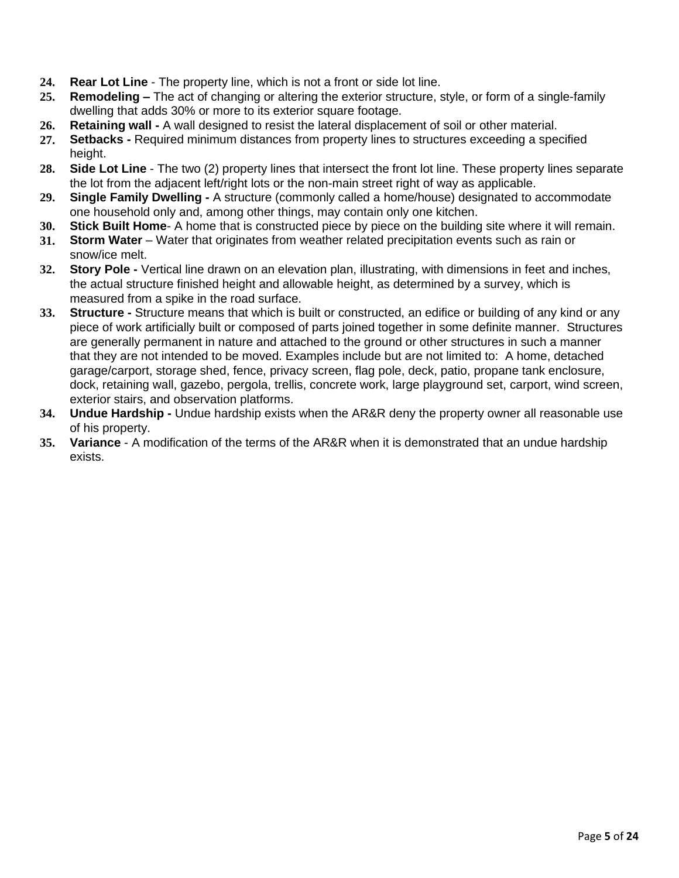- **24. Rear Lot Line**  The property line, which is not a front or side lot line.
- **25. Remodeling –** The act of changing or altering the exterior structure, style, or form of a single-family dwelling that adds 30% or more to its exterior square footage.
- **26. Retaining wall -** A wall designed to resist the lateral displacement of soil or other material.
- **27. Setbacks -** Required minimum distances from property lines to structures exceeding a specified height.
- **28. Side Lot Line**  The two (2) property lines that intersect the front lot line. These property lines separate the lot from the adjacent left/right lots or the non-main street right of way as applicable.
- **29. Single Family Dwelling -** A structure (commonly called a home/house) designated to accommodate one household only and, among other things, may contain only one kitchen.
- **30. Stick Built Home** A home that is constructed piece by piece on the building site where it will remain.
- **31. Storm Water**  Water that originates from weather related precipitation events such as rain or snow/ice melt.
- **32. Story Pole -** Vertical line drawn on an elevation plan, illustrating, with dimensions in feet and inches, the actual structure finished height and allowable height, as determined by a survey, which is measured from a spike in the road surface.
- **33. Structure -** Structure means that which is built or constructed, an edifice or building of any kind or any piece of work artificially built or composed of parts joined together in some definite manner. Structures are generally permanent in nature and attached to the ground or other structures in such a manner that they are not intended to be moved. Examples include but are not limited to: A home, detached garage/carport, storage shed, fence, privacy screen, flag pole, deck, patio, propane tank enclosure, dock, retaining wall, gazebo, pergola, trellis, concrete work, large playground set, carport, wind screen, exterior stairs, and observation platforms.
- **34. Undue Hardship -** Undue hardship exists when the AR&R deny the property owner all reasonable use of his property.
- **35. Variance**  A modification of the terms of the AR&R when it is demonstrated that an undue hardship exists.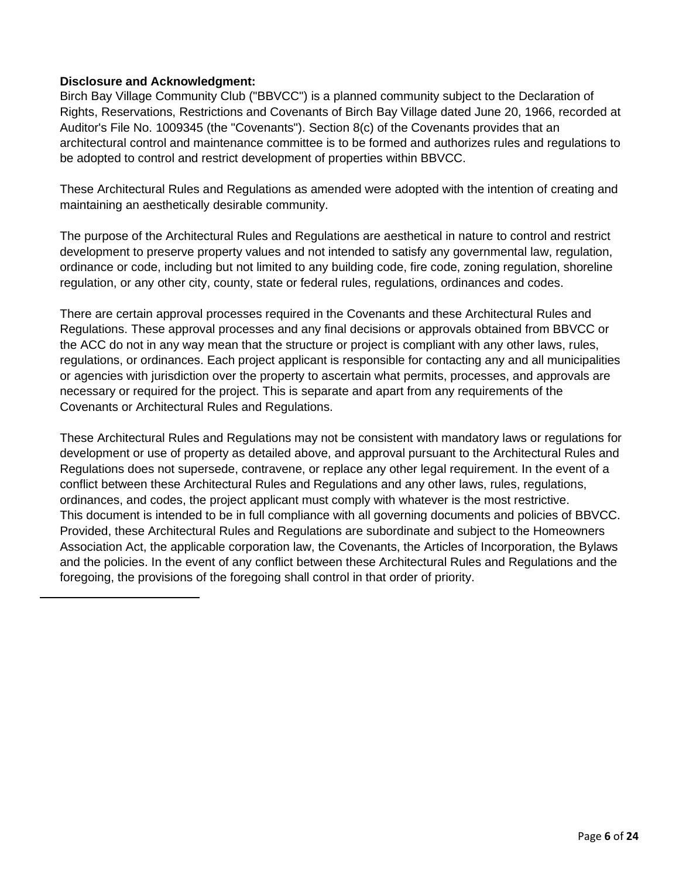### **Disclosure and Acknowledgment:**

Birch Bay Village Community Club ("BBVCC") is a planned community subject to the Declaration of Rights, Reservations, Restrictions and Covenants of Birch Bay Village dated June 20, 1966, recorded at Auditor's File No. 1009345 (the "Covenants"). Section 8(c) of the Covenants provides that an architectural control and maintenance committee is to be formed and authorizes rules and regulations to be adopted to control and restrict development of properties within BBVCC.

These Architectural Rules and Regulations as amended were adopted with the intention of creating and maintaining an aesthetically desirable community.

The purpose of the Architectural Rules and Regulations are aesthetical in nature to control and restrict development to preserve property values and not intended to satisfy any governmental law, regulation, ordinance or code, including but not limited to any building code, fire code, zoning regulation, shoreline regulation, or any other city, county, state or federal rules, regulations, ordinances and codes.

There are certain approval processes required in the Covenants and these Architectural Rules and Regulations. These approval processes and any final decisions or approvals obtained from BBVCC or the ACC do not in any way mean that the structure or project is compliant with any other laws, rules, regulations, or ordinances. Each project applicant is responsible for contacting any and all municipalities or agencies with jurisdiction over the property to ascertain what permits, processes, and approvals are necessary or required for the project. This is separate and apart from any requirements of the Covenants or Architectural Rules and Regulations.

These Architectural Rules and Regulations may not be consistent with mandatory laws or regulations for development or use of property as detailed above, and approval pursuant to the Architectural Rules and Regulations does not supersede, contravene, or replace any other legal requirement. In the event of a conflict between these Architectural Rules and Regulations and any other laws, rules, regulations, ordinances, and codes, the project applicant must comply with whatever is the most restrictive. This document is intended to be in full compliance with all governing documents and policies of BBVCC. Provided, these Architectural Rules and Regulations are subordinate and subject to the Homeowners Association Act, the applicable corporation law, the Covenants, the Articles of Incorporation, the Bylaws and the policies. In the event of any conflict between these Architectural Rules and Regulations and the foregoing, the provisions of the foregoing shall control in that order of priority.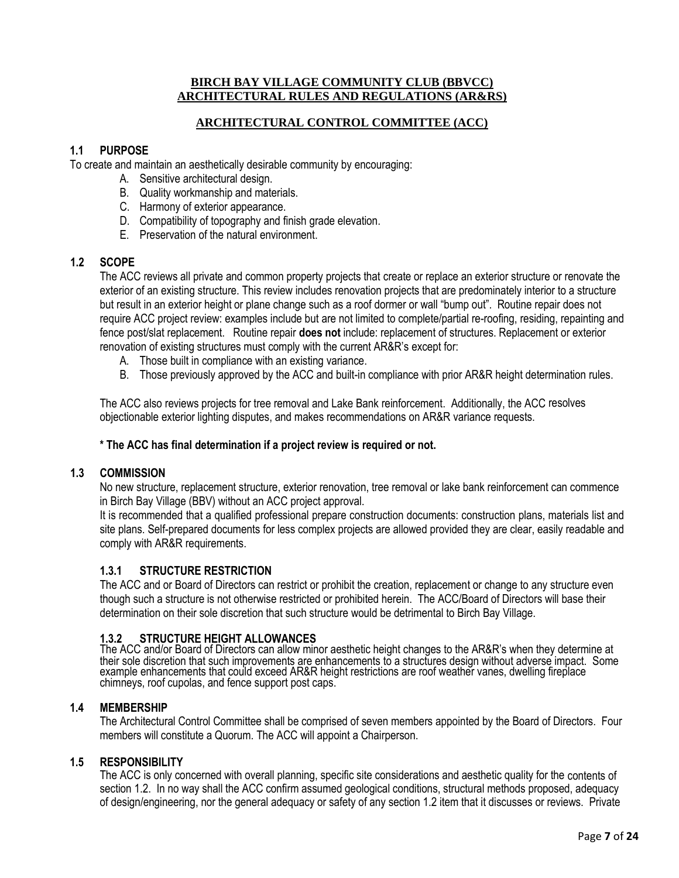#### **BIRCH BAY VILLAGE COMMUNITY CLUB (BBVCC) ARCHITECTURAL RULES AND REGULATIONS (AR&RS)**

### **ARCHITECTURAL CONTROL COMMITTEE (ACC)**

# **1.1 PURPOSE**

To create and maintain an aesthetically desirable community by encouraging:

- A. Sensitive architectural design.
- B. Quality workmanship and materials.
- C. Harmony of exterior appearance.
- D. Compatibility of topography and finish grade elevation.
- E. Preservation of the natural environment.

### **1.2 SCOPE**

The ACC reviews all private and common property projects that create or replace an exterior structure or renovate the exterior of an existing structure. This review includes renovation projects that are predominately interior to a structure but result in an exterior height or plane change such as a roof dormer or wall "bump out". Routine repair does not require ACC project review: examples include but are not limited to complete/partial re-roofing, residing, repainting and fence post/slat replacement. Routine repair **does not** include: replacement of structures. Replacement or exterior renovation of existing structures must comply with the current AR&R's except for:

- A. Those built in compliance with an existing variance.
- B. Those previously approved by the ACC and built-in compliance with prior AR&R height determination rules.

The ACC also reviews projects for tree removal and Lake Bank reinforcement. Additionally, the ACC resolves objectionable exterior lighting disputes, and makes recommendations on AR&R variance requests.

#### **\* The ACC has final determination if a project review is required or not.**

#### **1.3 COMMISSION**

No new structure, replacement structure, exterior renovation, tree removal or lake bank reinforcement can commence in Birch Bay Village (BBV) without an ACC project approval.

It is recommended that a qualified professional prepare construction documents: construction plans, materials list and site plans. Self-prepared documents for less complex projects are allowed provided they are clear, easily readable and comply with AR&R requirements.

### **1.3.1 STRUCTURE RESTRICTION**

The ACC and or Board of Directors can restrict or prohibit the creation, replacement or change to any structure even though such a structure is not otherwise restricted or prohibited herein. The ACC/Board of Directors will base their determination on their sole discretion that such structure would be detrimental to Birch Bay Village.

### **1.3.2 STRUCTURE HEIGHT ALLOWANCES**

The ACC and/or Board of Directors can allow minor aesthetic height changes to the AR&R's when they determine at their sole discretion that such improvements are enhancements to a structures design without adverse impact. Some example enhancements that could exceed AR&R height restrictions are roof weather vanes, dwelling fireplace chimneys, roof cupolas, and fence support post caps.

#### **1.4 MEMBERSHIP**

The Architectural Control Committee shall be comprised of seven members appointed by the Board of Directors. Four members will constitute a Quorum. The ACC will appoint a Chairperson.

### **1.5 RESPONSIBILITY**

The ACC is only concerned with overall planning, specific site considerations and aesthetic quality for the contents of section 1.2. In no way shall the ACC confirm assumed geological conditions, structural methods proposed, adequacy of design/engineering, nor the general adequacy or safety of any section 1.2 item that it discusses or reviews. Private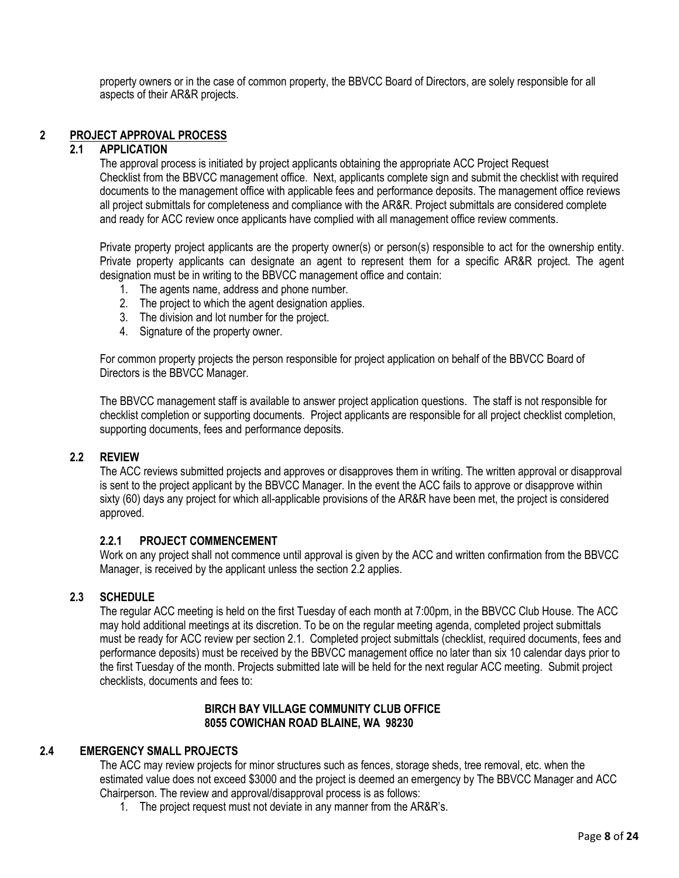property owners or in the case of common property, the BBVCC Board of Directors, are solely responsible for all aspects of their AR&R projects.

### **2 PROJECT APPROVAL PROCESS**

#### **2.1 APPLICATION**

The approval process is initiated by project applicants obtaining the appropriate ACC Project Request Checklist from the BBVCC management office. Next, applicants complete sign and submit the checklist with required documents to the management office with applicable fees and performance deposits. The management office reviews all project submittals for completeness and compliance with the AR&R. Project submittals are considered complete and ready for ACC review once applicants have complied with all management office review comments.

Private property project applicants are the property owner(s) or person(s) responsible to act for the ownership entity. Private property applicants can designate an agent to represent them for a specific AR&R project. The agent designation must be in writing to the BBVCC management office and contain:

- 1. The agents name, address and phone number.
- 2. The project to which the agent designation applies.
- 3. The division and lot number for the project.
- 4. Signature of the property owner.

For common property projects the person responsible for project application on behalf of the BBVCC Board of Directors is the BBVCC Manager.

The BBVCC management staff is available to answer project application questions. The staff is not responsible for checklist completion or supporting documents. Project applicants are responsible for all project checklist completion, supporting documents, fees and performance deposits.

### **2.2 REVIEW**

The ACC reviews submitted projects and approves or disapproves them in writing. The written approval or disapproval is sent to the project applicant by the BBVCC Manager. In the event the ACC fails to approve or disapprove within sixty (60) days any project for which all-applicable provisions of the AR&R have been met, the project is considered approved.

#### **2.2.1 PROJECT COMMENCEMENT**

Work on any project shall not commence until approval is given by the ACC and written confirmation from the BBVCC Manager, is received by the applicant unless the section 2.2 applies.

### **2.3 SCHEDULE**

The regular ACC meeting is held on the first Tuesday of each month at 7:00pm, in the BBVCC Club House. The ACC may hold additional meetings at its discretion. To be on the regular meeting agenda, completed project submittals must be ready for ACC review per section 2.1. Completed project submittals (checklist, required documents, fees and performance deposits) must be received by the BBVCC management office no later than six 10 calendar days prior to the first Tuesday of the month. Projects submitted late will be held for the next regular ACC meeting. Submit project checklists, documents and fees to:

#### **BIRCH BAY VILLAGE COMMUNITY CLUB OFFICE 8055 COWICHAN ROAD BLAINE, WA 98230**

### **2.4 EMERGENCY SMALL PROJECTS**

The ACC may review projects for minor structures such as fences, storage sheds, tree removal, etc. when the estimated value does not exceed \$3000 and the project is deemed an emergency by The BBVCC Manager and ACC Chairperson. The review and approval/disapproval process is as follows:

1. The project request must not deviate in any manner from the AR&R's.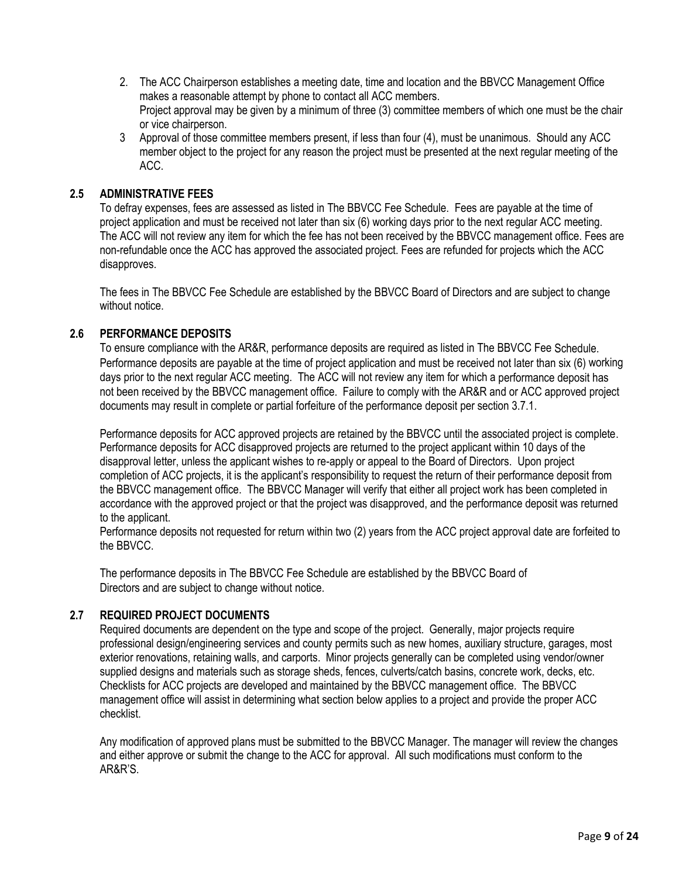- 2. The ACC Chairperson establishes a meeting date, time and location and the BBVCC Management Office makes a reasonable attempt by phone to contact all ACC members. Project approval may be given by a minimum of three (3) committee members of which one must be the chair or vice chairperson.
- 3 Approval of those committee members present, if less than four (4), must be unanimous. Should any ACC member object to the project for any reason the project must be presented at the next regular meeting of the ACC.

#### **2.5 ADMINISTRATIVE FEES**

To defray expenses, fees are assessed as listed in The BBVCC Fee Schedule. Fees are payable at the time of project application and must be received not later than six (6) working days prior to the next regular ACC meeting. The ACC will not review any item for which the fee has not been received by the BBVCC management office. Fees are non-refundable once the ACC has approved the associated project. Fees are refunded for projects which the ACC disapproves.

The fees in The BBVCC Fee Schedule are established by the BBVCC Board of Directors and are subject to change without notice.

#### **2.6 PERFORMANCE DEPOSITS**

To ensure compliance with the AR&R, performance deposits are required as listed in The BBVCC Fee Schedule. Performance deposits are payable at the time of project application and must be received not later than six (6) working days prior to the next regular ACC meeting. The ACC will not review any item for which a performance deposit has not been received by the BBVCC management office. Failure to comply with the AR&R and or ACC approved project documents may result in complete or partial forfeiture of the performance deposit per section 3.7.1.

Performance deposits for ACC approved projects are retained by the BBVCC until the associated project is complete. Performance deposits for ACC disapproved projects are returned to the project applicant within 10 days of the disapproval letter, unless the applicant wishes to re-apply or appeal to the Board of Directors. Upon project completion of ACC projects, it is the applicant's responsibility to request the return of their performance deposit from the BBVCC management office. The BBVCC Manager will verify that either all project work has been completed in accordance with the approved project or that the project was disapproved, and the performance deposit was returned to the applicant.

Performance deposits not requested for return within two (2) years from the ACC project approval date are forfeited to the BBVCC.

The performance deposits in The BBVCC Fee Schedule are established by the BBVCC Board of Directors and are subject to change without notice.

### **2.7 REQUIRED PROJECT DOCUMENTS**

Required documents are dependent on the type and scope of the project. Generally, major projects require professional design/engineering services and county permits such as new homes, auxiliary structure, garages, most exterior renovations, retaining walls, and carports. Minor projects generally can be completed using vendor/owner supplied designs and materials such as storage sheds, fences, culverts/catch basins, concrete work, decks, etc. Checklists for ACC projects are developed and maintained by the BBVCC management office. The BBVCC management office will assist in determining what section below applies to a project and provide the proper ACC checklist.

Any modification of approved plans must be submitted to the BBVCC Manager. The manager will review the changes and either approve or submit the change to the ACC for approval. All such modifications must conform to the AR&R'S.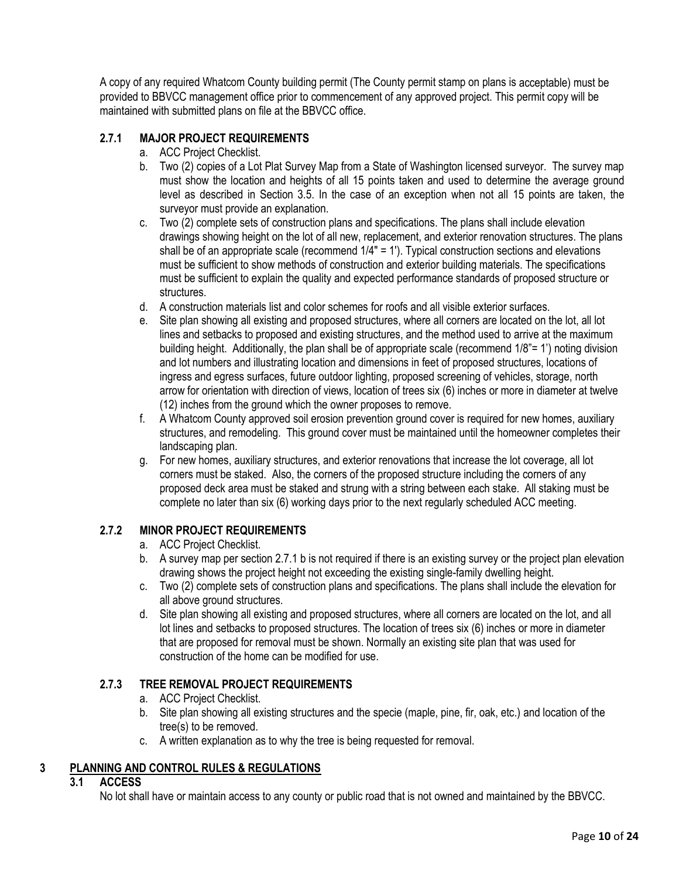A copy of any required Whatcom County building permit (The County permit stamp on plans is acceptable) must be provided to BBVCC management office prior to commencement of any approved project. This permit copy will be maintained with submitted plans on file at the BBVCC office.

# **2.7.1 MAJOR PROJECT REQUIREMENTS**

- a. ACC Project Checklist.
- b. Two (2) copies of a Lot Plat Survey Map from a State of Washington licensed surveyor. The survey map must show the location and heights of all 15 points taken and used to determine the average ground level as described in Section 3.5. In the case of an exception when not all 15 points are taken, the surveyor must provide an explanation.
- c. Two (2) complete sets of construction plans and specifications. The plans shall include elevation drawings showing height on the lot of all new, replacement, and exterior renovation structures. The plans shall be of an appropriate scale (recommend 1/4" = 1'). Typical construction sections and elevations must be sufficient to show methods of construction and exterior building materials. The specifications must be sufficient to explain the quality and expected performance standards of proposed structure or structures.
- d. A construction materials list and color schemes for roofs and all visible exterior surfaces.
- e. Site plan showing all existing and proposed structures, where all corners are located on the lot, all lot lines and setbacks to proposed and existing structures, and the method used to arrive at the maximum building height. Additionally, the plan shall be of appropriate scale (recommend 1/8"= 1') noting division and lot numbers and illustrating location and dimensions in feet of proposed structures, locations of ingress and egress surfaces, future outdoor lighting, proposed screening of vehicles, storage, north arrow for orientation with direction of views, location of trees six (6) inches or more in diameter at twelve (12) inches from the ground which the owner proposes to remove.
- f. A Whatcom County approved soil erosion prevention ground cover is required for new homes, auxiliary structures, and remodeling. This ground cover must be maintained until the homeowner completes their landscaping plan.
- g. For new homes, auxiliary structures, and exterior renovations that increase the lot coverage, all lot corners must be staked. Also, the corners of the proposed structure including the corners of any proposed deck area must be staked and strung with a string between each stake. All staking must be complete no later than six (6) working days prior to the next regularly scheduled ACC meeting.

### **2.7.2 MINOR PROJECT REQUIREMENTS**

- a. ACC Project Checklist.
- b. A survey map per section 2.7.1 b is not required if there is an existing survey or the project plan elevation drawing shows the project height not exceeding the existing single-family dwelling height.
- c. Two (2) complete sets of construction plans and specifications. The plans shall include the elevation for all above ground structures.
- d. Site plan showing all existing and proposed structures, where all corners are located on the lot, and all lot lines and setbacks to proposed structures. The location of trees six (6) inches or more in diameter that are proposed for removal must be shown. Normally an existing site plan that was used for construction of the home can be modified for use.

### **2.7.3 TREE REMOVAL PROJECT REQUIREMENTS**

- a. ACC Project Checklist.
- b. Site plan showing all existing structures and the specie (maple, pine, fir, oak, etc.) and location of the tree(s) to be removed.
- c. A written explanation as to why the tree is being requested for removal.

### **3 PLANNING AND CONTROL RULES & REGULATIONS**

### **3.1 ACCESS**

No lot shall have or maintain access to any county or public road that is not owned and maintained by the BBVCC.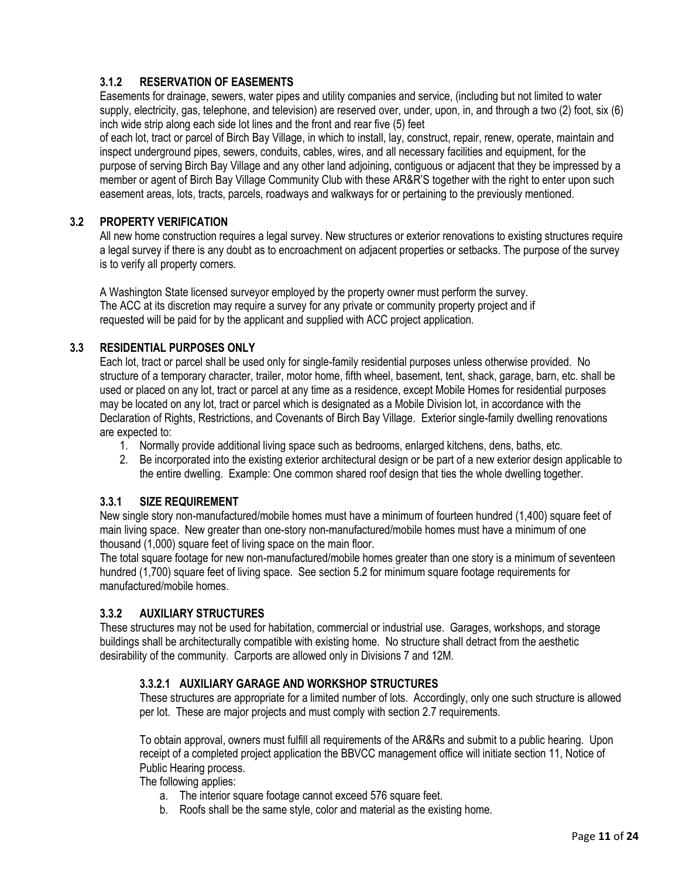# **3.1.2 RESERVATION OF EASEMENTS**

Easements for drainage, sewers, water pipes and utility companies and service, (including but not limited to water supply, electricity, gas, telephone, and television) are reserved over, under, upon, in, and through a two (2) foot, six (6) inch wide strip along each side lot lines and the front and rear five (5) feet

of each lot, tract or parcel of Birch Bay Village, in which to install, lay, construct, repair, renew, operate, maintain and inspect underground pipes, sewers, conduits, cables, wires, and all necessary facilities and equipment, for the purpose of serving Birch Bay Village and any other land adjoining, contiguous or adjacent that they be impressed by a member or agent of Birch Bay Village Community Club with these AR&R'S together with the right to enter upon such easement areas, lots, tracts, parcels, roadways and walkways for or pertaining to the previously mentioned.

#### **3.2 PROPERTY VERIFICATION**

All new home construction requires a legal survey. New structures or exterior renovations to existing structures require a legal survey if there is any doubt as to encroachment on adjacent properties or setbacks. The purpose of the survey is to verify all property corners.

A Washington State licensed surveyor employed by the property owner must perform the survey. The ACC at its discretion may require a survey for any private or community property project and if requested will be paid for by the applicant and supplied with ACC project application.

### **3.3 RESIDENTIAL PURPOSES ONLY**

Each lot, tract or parcel shall be used only for single-family residential purposes unless otherwise provided. No structure of a temporary character, trailer, motor home, fifth wheel, basement, tent, shack, garage, barn, etc. shall be used or placed on any lot, tract or parcel at any time as a residence, except Mobile Homes for residential purposes may be located on any lot, tract or parcel which is designated as a Mobile Division lot, in accordance with the Declaration of Rights, Restrictions, and Covenants of Birch Bay Village. Exterior single-family dwelling renovations are expected to:

- 1. Normally provide additional living space such as bedrooms, enlarged kitchens, dens, baths, etc.
- 2. Be incorporated into the existing exterior architectural design or be part of a new exterior design applicable to the entire dwelling. Example: One common shared roof design that ties the whole dwelling together.

#### **3.3.1 SIZE REQUIREMENT**

New single story non-manufactured/mobile homes must have a minimum of fourteen hundred (1,400) square feet of main living space. New greater than one-story non-manufactured/mobile homes must have a minimum of one thousand (1,000) square feet of living space on the main floor.

The total square footage for new non-manufactured/mobile homes greater than one story is a minimum of seventeen hundred (1,700) square feet of living space. See section 5.2 for minimum square footage requirements for manufactured/mobile homes.

### **3.3.2 AUXILIARY STRUCTURES**

These structures may not be used for habitation, commercial or industrial use. Garages, workshops, and storage buildings shall be architecturally compatible with existing home. No structure shall detract from the aesthetic desirability of the community. Carports are allowed only in Divisions 7 and 12M.

### **3.3.2.1 AUXILIARY GARAGE AND WORKSHOP STRUCTURES**

These structures are appropriate for a limited number of lots. Accordingly, only one such structure is allowed per lot. These are major projects and must comply with section 2.7 requirements.

To obtain approval, owners must fulfill all requirements of the AR&Rs and submit to a public hearing. Upon receipt of a completed project application the BBVCC management office will initiate section 11, Notice of Public Hearing process.

The following applies:

- a. The interior square footage cannot exceed 576 square feet.
- b. Roofs shall be the same style, color and material as the existing home.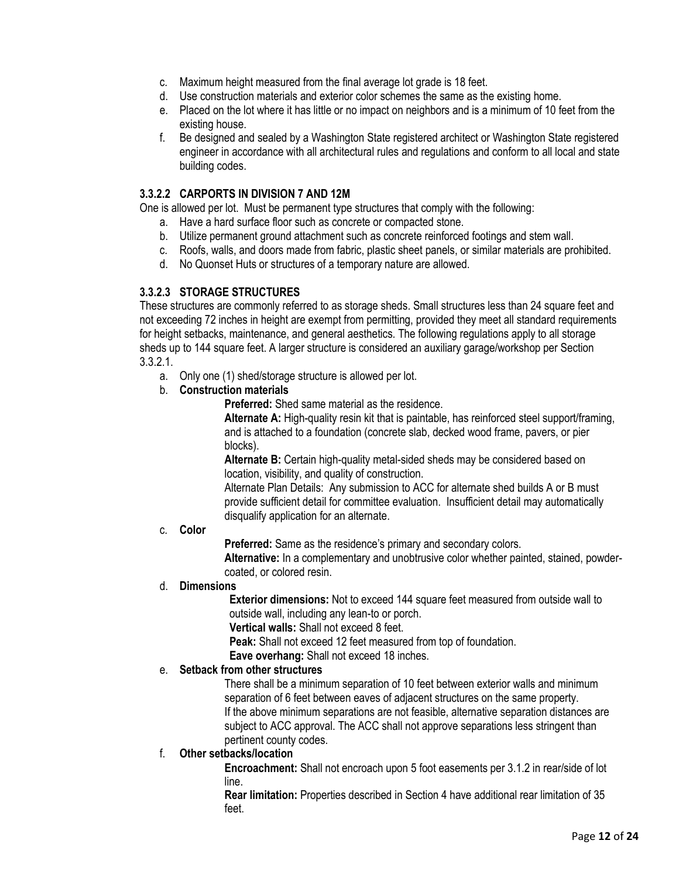- c. Maximum height measured from the final average lot grade is 18 feet.
- d. Use construction materials and exterior color schemes the same as the existing home.
- e. Placed on the lot where it has little or no impact on neighbors and is a minimum of 10 feet from the existing house.
- f. Be designed and sealed by a Washington State registered architect or Washington State registered engineer in accordance with all architectural rules and regulations and conform to all local and state building codes.

#### **3.3.2.2 CARPORTS IN DIVISION 7 AND 12M**

One is allowed per lot. Must be permanent type structures that comply with the following:

- a. Have a hard surface floor such as concrete or compacted stone.
- b. Utilize permanent ground attachment such as concrete reinforced footings and stem wall.
- c. Roofs, walls, and doors made from fabric, plastic sheet panels, or similar materials are prohibited.
- d. No Quonset Huts or structures of a temporary nature are allowed.

#### **3.3.2.3 STORAGE STRUCTURES**

These structures are commonly referred to as storage sheds. Small structures less than 24 square feet and not exceeding 72 inches in height are exempt from permitting, provided they meet all standard requirements for height setbacks, maintenance, and general aesthetics. The following regulations apply to all storage sheds up to 144 square feet. A larger structure is considered an auxiliary garage/workshop per Section 3.3.2.1.

- a. Only one (1) shed/storage structure is allowed per lot.
- b. **Construction materials**

**Preferred:** Shed same material as the residence.

**Alternate A:** High-quality resin kit that is paintable, has reinforced steel support/framing, and is attached to a foundation (concrete slab, decked wood frame, pavers, or pier blocks).

**Alternate B:** Certain high-quality metal-sided sheds may be considered based on location, visibility, and quality of construction.

Alternate Plan Details: Any submission to ACC for alternate shed builds A or B must provide sufficient detail for committee evaluation. Insufficient detail may automatically disqualify application for an alternate.

#### c. **Color**

**Preferred:** Same as the residence's primary and secondary colors.

**Alternative:** In a complementary and unobtrusive color whether painted, stained, powdercoated, or colored resin.

#### d. **Dimensions**

**Exterior dimensions:** Not to exceed 144 square feet measured from outside wall to outside wall, including any lean-to or porch.

**Vertical walls:** Shall not exceed 8 feet.

**Peak:** Shall not exceed 12 feet measured from top of foundation.

**Eave overhang:** Shall not exceed 18 inches.

#### e. **Setback from other structures**

There shall be a minimum separation of 10 feet between exterior walls and minimum separation of 6 feet between eaves of adjacent structures on the same property. If the above minimum separations are not feasible, alternative separation distances are subject to ACC approval. The ACC shall not approve separations less stringent than pertinent county codes.

### f. **Other setbacks/location**

**Encroachment:** Shall not encroach upon 5 foot easements per 3.1.2 in rear/side of lot line.

**Rear limitation:** Properties described in Section 4 have additional rear limitation of 35 feet.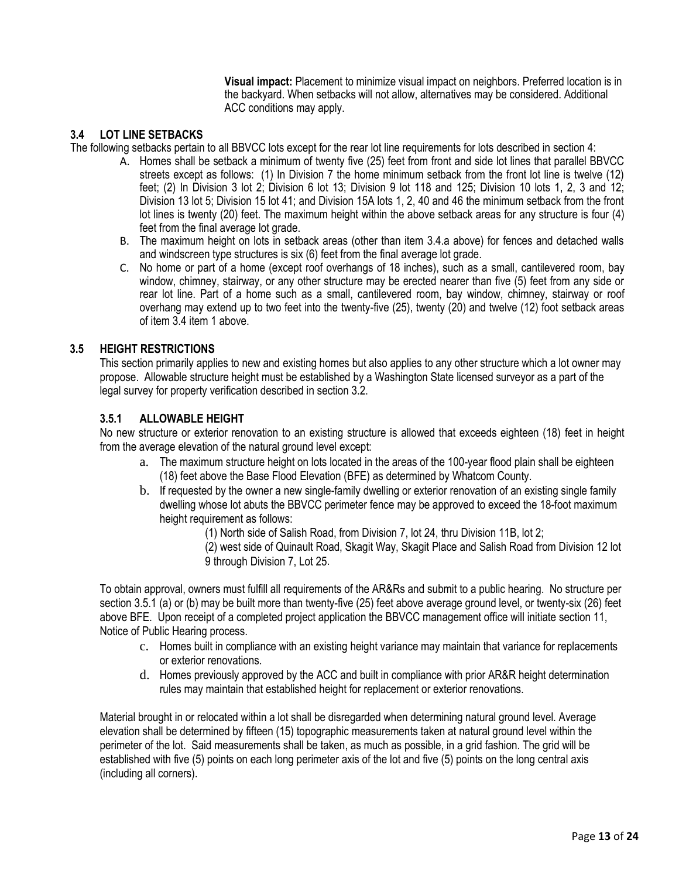**Visual impact:** Placement to minimize visual impact on neighbors. Preferred location is in the backyard. When setbacks will not allow, alternatives may be considered. Additional ACC conditions may apply.

### **3.4 LOT LINE SETBACKS**

The following setbacks pertain to all BBVCC lots except for the rear lot line requirements for lots described in section 4:

- A. Homes shall be setback a minimum of twenty five (25) feet from front and side lot lines that parallel BBVCC streets except as follows: (1) In Division 7 the home minimum setback from the front lot line is twelve (12) feet; (2) In Division 3 lot 2; Division 6 lot 13; Division 9 lot 118 and 125; Division 10 lots 1, 2, 3 and 12; Division 13 lot 5; Division 15 lot 41; and Division 15A lots 1, 2, 40 and 46 the minimum setback from the front lot lines is twenty (20) feet. The maximum height within the above setback areas for any structure is four (4) feet from the final average lot grade.
- B. The maximum height on lots in setback areas (other than item 3.4.a above) for fences and detached walls and windscreen type structures is six (6) feet from the final average lot grade.
- C. No home or part of a home (except roof overhangs of 18 inches), such as a small, cantilevered room, bay window, chimney, stairway, or any other structure may be erected nearer than five (5) feet from any side or rear lot line. Part of a home such as a small, cantilevered room, bay window, chimney, stairway or roof overhang may extend up to two feet into the twenty-five (25), twenty (20) and twelve (12) foot setback areas of item 3.4 item 1 above.

### **3.5 HEIGHT RESTRICTIONS**

This section primarily applies to new and existing homes but also applies to any other structure which a lot owner may propose. Allowable structure height must be established by a Washington State licensed surveyor as a part of the legal survey for property verification described in section 3.2.

### **3.5.1 ALLOWABLE HEIGHT**

No new structure or exterior renovation to an existing structure is allowed that exceeds eighteen (18) feet in height from the average elevation of the natural ground level except:

- a. The maximum structure height on lots located in the areas of the 100-year flood plain shall be eighteen (18) feet above the Base Flood Elevation (BFE) as determined by Whatcom County.
- b. If requested by the owner a new single-family dwelling or exterior renovation of an existing single family dwelling whose lot abuts the BBVCC perimeter fence may be approved to exceed the 18-foot maximum height requirement as follows:
	- (1) North side of Salish Road, from Division 7, lot 24, thru Division 11B, lot 2;
	- (2) west side of Quinault Road, Skagit Way, Skagit Place and Salish Road from Division 12 lot 9 through Division 7, Lot 25.

To obtain approval, owners must fulfill all requirements of the AR&Rs and submit to a public hearing. No structure per section 3.5.1 (a) or (b) may be built more than twenty-five (25) feet above average ground level, or twenty-six (26) feet above BFE. Upon receipt of a completed project application the BBVCC management office will initiate section 11, Notice of Public Hearing process.

- c. Homes built in compliance with an existing height variance may maintain that variance for replacements or exterior renovations.
- d. Homes previously approved by the ACC and built in compliance with prior AR&R height determination rules may maintain that established height for replacement or exterior renovations.

Material brought in or relocated within a lot shall be disregarded when determining natural ground level. Average elevation shall be determined by fifteen (15) topographic measurements taken at natural ground level within the perimeter of the lot. Said measurements shall be taken, as much as possible, in a grid fashion. The grid will be established with five (5) points on each long perimeter axis of the lot and five (5) points on the long central axis (including all corners).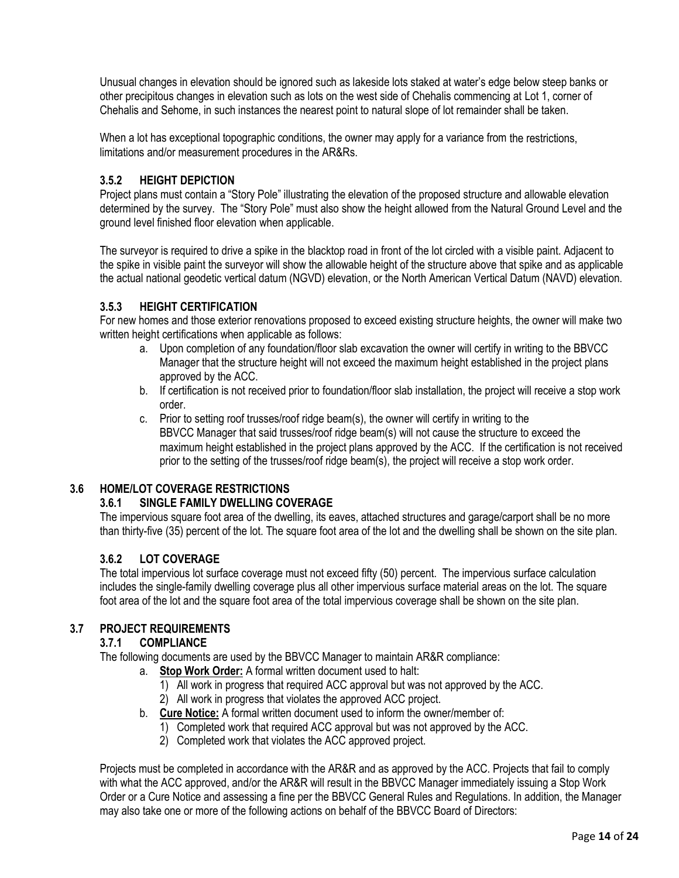Unusual changes in elevation should be ignored such as lakeside lots staked at water's edge below steep banks or other precipitous changes in elevation such as lots on the west side of Chehalis commencing at Lot 1, corner of Chehalis and Sehome, in such instances the nearest point to natural slope of lot remainder shall be taken.

When a lot has exceptional topographic conditions, the owner may apply for a variance from the restrictions, limitations and/or measurement procedures in the AR&Rs.

# **3.5.2 HEIGHT DEPICTION**

Project plans must contain a "Story Pole" illustrating the elevation of the proposed structure and allowable elevation determined by the survey. The "Story Pole" must also show the height allowed from the Natural Ground Level and the ground level finished floor elevation when applicable.

The surveyor is required to drive a spike in the blacktop road in front of the lot circled with a visible paint. Adjacent to the spike in visible paint the surveyor will show the allowable height of the structure above that spike and as applicable the actual national geodetic vertical datum (NGVD) elevation, or the North American Vertical Datum (NAVD) elevation.

### **3.5.3 HEIGHT CERTIFICATION**

For new homes and those exterior renovations proposed to exceed existing structure heights, the owner will make two written height certifications when applicable as follows:

- a. Upon completion of any foundation/floor slab excavation the owner will certify in writing to the BBVCC Manager that the structure height will not exceed the maximum height established in the project plans approved by the ACC.
- b. If certification is not received prior to foundation/floor slab installation, the project will receive a stop work order.
- c. Prior to setting roof trusses/roof ridge beam(s), the owner will certify in writing to the BBVCC Manager that said trusses/roof ridge beam(s) will not cause the structure to exceed the maximum height established in the project plans approved by the ACC. If the certification is not received prior to the setting of the trusses/roof ridge beam(s), the project will receive a stop work order.

### **3.6 HOME/LOT COVERAGE RESTRICTIONS**

### **3.6.1 SINGLE FAMILY DWELLING COVERAGE**

The impervious square foot area of the dwelling, its eaves, attached structures and garage/carport shall be no more than thirty-five (35) percent of the lot. The square foot area of the lot and the dwelling shall be shown on the site plan.

# **3.6.2 LOT COVERAGE**

The total impervious lot surface coverage must not exceed fifty (50) percent. The impervious surface calculation includes the single-family dwelling coverage plus all other impervious surface material areas on the lot. The square foot area of the lot and the square foot area of the total impervious coverage shall be shown on the site plan.

### **3.7 PROJECT REQUIREMENTS**

### **3.7.1 COMPLIANCE**

The following documents are used by the BBVCC Manager to maintain AR&R compliance:

- a. **Stop Work Order:** A formal written document used to halt:
	- 1) All work in progress that required ACC approval but was not approved by the ACC.
	- 2) All work in progress that violates the approved ACC project.
- b. **Cure Notice:** A formal written document used to inform the owner/member of:
	- 1) Completed work that required ACC approval but was not approved by the ACC.
		- 2) Completed work that violates the ACC approved project.

Projects must be completed in accordance with the AR&R and as approved by the ACC. Projects that fail to comply with what the ACC approved, and/or the AR&R will result in the BBVCC Manager immediately issuing a Stop Work Order or a Cure Notice and assessing a fine per the BBVCC General Rules and Regulations. In addition, the Manager may also take one or more of the following actions on behalf of the BBVCC Board of Directors: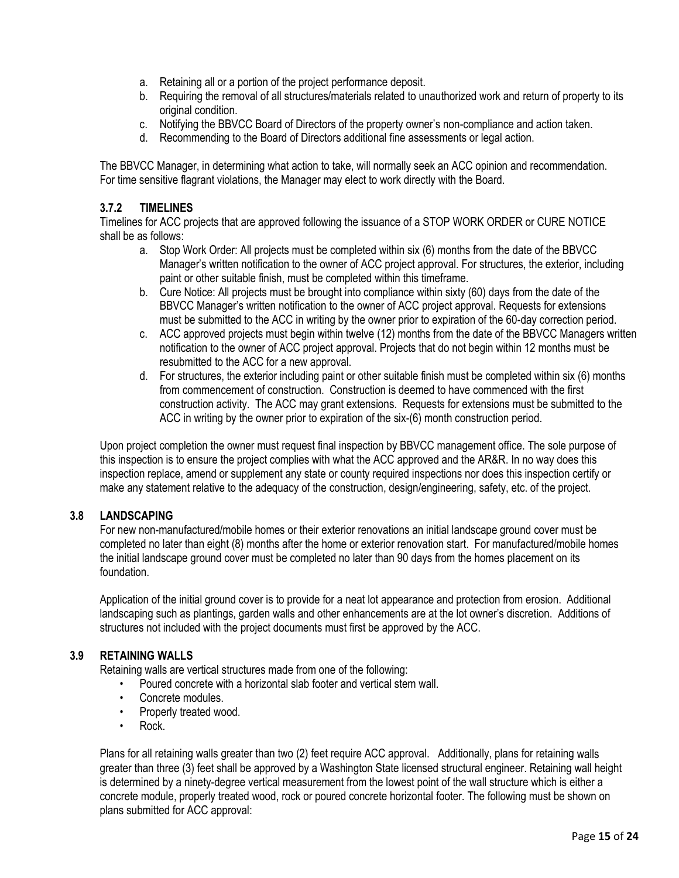- a. Retaining all or a portion of the project performance deposit.
- b. Requiring the removal of all structures/materials related to unauthorized work and return of property to its original condition.
- c. Notifying the BBVCC Board of Directors of the property owner's non-compliance and action taken.
- d. Recommending to the Board of Directors additional fine assessments or legal action.

The BBVCC Manager, in determining what action to take, will normally seek an ACC opinion and recommendation. For time sensitive flagrant violations, the Manager may elect to work directly with the Board.

#### **3.7.2 TIMELINES**

Timelines for ACC projects that are approved following the issuance of a STOP WORK ORDER or CURE NOTICE shall be as follows:

- a. Stop Work Order: All projects must be completed within six (6) months from the date of the BBVCC Manager's written notification to the owner of ACC project approval. For structures, the exterior, including paint or other suitable finish, must be completed within this timeframe.
- b. Cure Notice: All projects must be brought into compliance within sixty (60) days from the date of the BBVCC Manager's written notification to the owner of ACC project approval. Requests for extensions must be submitted to the ACC in writing by the owner prior to expiration of the 60-day correction period.
- c. ACC approved projects must begin within twelve (12) months from the date of the BBVCC Managers written notification to the owner of ACC project approval. Projects that do not begin within 12 months must be resubmitted to the ACC for a new approval.
- d. For structures, the exterior including paint or other suitable finish must be completed within six (6) months from commencement of construction. Construction is deemed to have commenced with the first construction activity. The ACC may grant extensions. Requests for extensions must be submitted to the ACC in writing by the owner prior to expiration of the six-(6) month construction period.

Upon project completion the owner must request final inspection by BBVCC management office. The sole purpose of this inspection is to ensure the project complies with what the ACC approved and the AR&R. In no way does this inspection replace, amend or supplement any state or county required inspections nor does this inspection certify or make any statement relative to the adequacy of the construction, design/engineering, safety, etc. of the project.

#### **3.8 LANDSCAPING**

For new non-manufactured/mobile homes or their exterior renovations an initial landscape ground cover must be completed no later than eight (8) months after the home or exterior renovation start. For manufactured/mobile homes the initial landscape ground cover must be completed no later than 90 days from the homes placement on its foundation.

Application of the initial ground cover is to provide for a neat lot appearance and protection from erosion. Additional landscaping such as plantings, garden walls and other enhancements are at the lot owner's discretion. Additions of structures not included with the project documents must first be approved by the ACC.

#### **3.9 RETAINING WALLS**

Retaining walls are vertical structures made from one of the following:

- Poured concrete with a horizontal slab footer and vertical stem wall.
- Concrete modules.
- Properly treated wood.
- Rock.

Plans for all retaining walls greater than two (2) feet require ACC approval. Additionally, plans for retaining walls greater than three (3) feet shall be approved by a Washington State licensed structural engineer. Retaining wall height is determined by a ninety-degree vertical measurement from the lowest point of the wall structure which is either a concrete module, properly treated wood, rock or poured concrete horizontal footer. The following must be shown on plans submitted for ACC approval: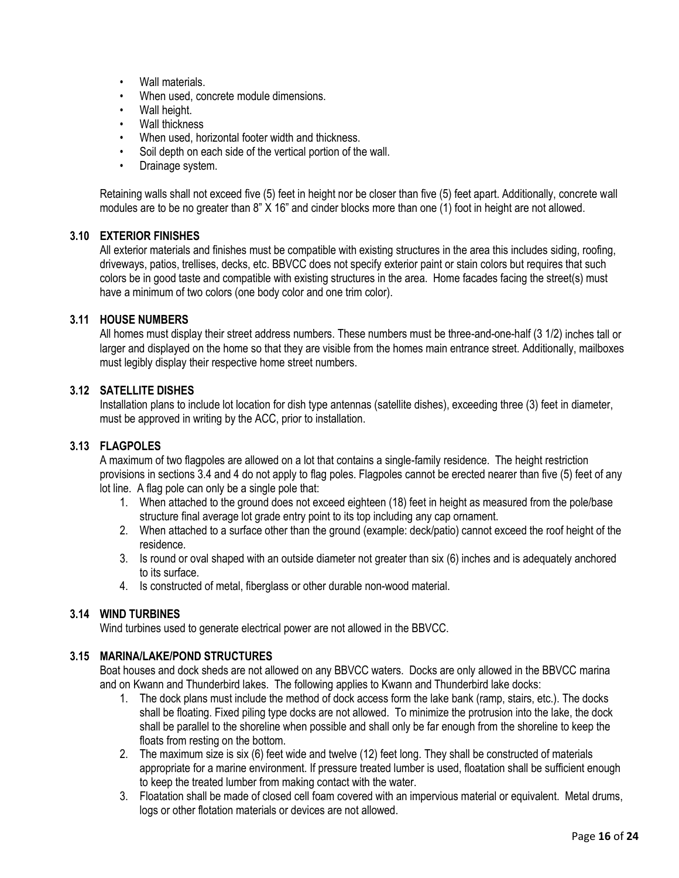- Wall materials.
- When used, concrete module dimensions.
- Wall height.
- Wall thickness
- When used, horizontal footer width and thickness.
- Soil depth on each side of the vertical portion of the wall.
- Drainage system.

Retaining walls shall not exceed five (5) feet in height nor be closer than five (5) feet apart. Additionally, concrete wall modules are to be no greater than 8" X 16" and cinder blocks more than one (1) foot in height are not allowed.

#### **3.10 EXTERIOR FINISHES**

All exterior materials and finishes must be compatible with existing structures in the area this includes siding, roofing, driveways, patios, trellises, decks, etc. BBVCC does not specify exterior paint or stain colors but requires that such colors be in good taste and compatible with existing structures in the area. Home facades facing the street(s) must have a minimum of two colors (one body color and one trim color).

#### **3.11 HOUSE NUMBERS**

All homes must display their street address numbers. These numbers must be three-and-one-half (3 1/2) inches tall or larger and displayed on the home so that they are visible from the homes main entrance street. Additionally, mailboxes must legibly display their respective home street numbers.

#### **3.12 SATELLITE DISHES**

Installation plans to include lot location for dish type antennas (satellite dishes), exceeding three (3) feet in diameter, must be approved in writing by the ACC, prior to installation.

#### **3.13 FLAGPOLES**

A maximum of two flagpoles are allowed on a lot that contains a single-family residence. The height restriction provisions in sections 3.4 and 4 do not apply to flag poles. Flagpoles cannot be erected nearer than five (5) feet of any lot line. A flag pole can only be a single pole that:

- 1. When attached to the ground does not exceed eighteen (18) feet in height as measured from the pole/base structure final average lot grade entry point to its top including any cap ornament.
- 2. When attached to a surface other than the ground (example: deck/patio) cannot exceed the roof height of the residence.
- 3. Is round or oval shaped with an outside diameter not greater than six (6) inches and is adequately anchored to its surface.
- 4. Is constructed of metal, fiberglass or other durable non-wood material.

### **3.14 WIND TURBINES**

Wind turbines used to generate electrical power are not allowed in the BBVCC.

#### **3.15 MARINA/LAKE/POND STRUCTURES**

Boat houses and dock sheds are not allowed on any BBVCC waters. Docks are only allowed in the BBVCC marina and on Kwann and Thunderbird lakes. The following applies to Kwann and Thunderbird lake docks:

- 1. The dock plans must include the method of dock access form the lake bank (ramp, stairs, etc.). The docks shall be floating. Fixed piling type docks are not allowed. To minimize the protrusion into the lake, the dock shall be parallel to the shoreline when possible and shall only be far enough from the shoreline to keep the floats from resting on the bottom.
- 2. The maximum size is six (6) feet wide and twelve (12) feet long. They shall be constructed of materials appropriate for a marine environment. If pressure treated lumber is used, floatation shall be sufficient enough to keep the treated lumber from making contact with the water.
- 3. Floatation shall be made of closed cell foam covered with an impervious material or equivalent. Metal drums, logs or other flotation materials or devices are not allowed.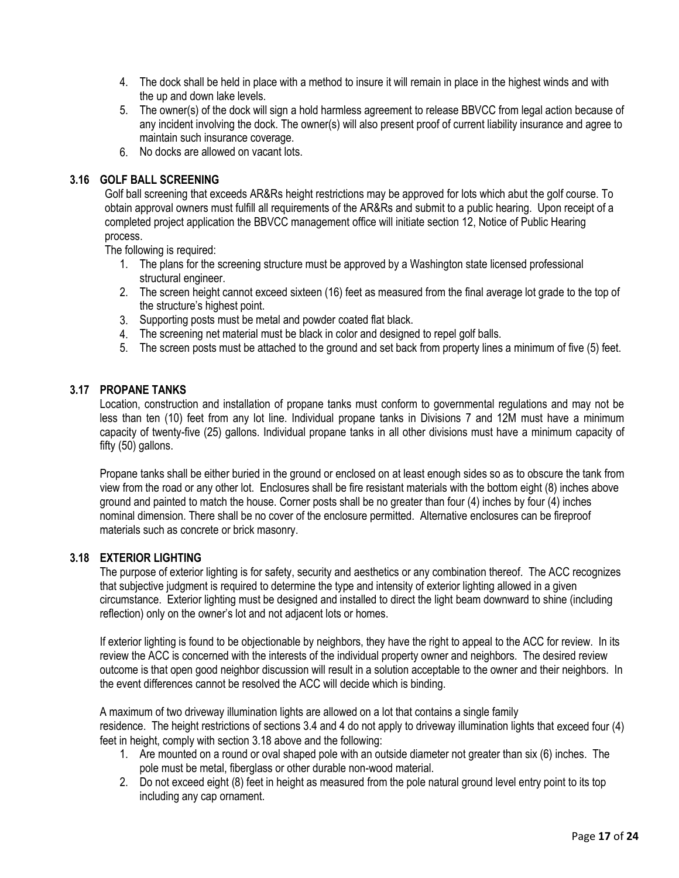- 4. The dock shall be held in place with a method to insure it will remain in place in the highest winds and with the up and down lake levels.
- 5. The owner(s) of the dock will sign a hold harmless agreement to release BBVCC from legal action because of any incident involving the dock. The owner(s) will also present proof of current liability insurance and agree to maintain such insurance coverage.
- 6. No docks are allowed on vacant lots.

#### **3.16 GOLF BALL SCREENING**

Golf ball screening that exceeds AR&Rs height restrictions may be approved for lots which abut the golf course. To obtain approval owners must fulfill all requirements of the AR&Rs and submit to a public hearing. Upon receipt of a completed project application the BBVCC management office will initiate section 12, Notice of Public Hearing process.

The following is required:

- 1. The plans for the screening structure must be approved by a Washington state licensed professional structural engineer.
- 2. The screen height cannot exceed sixteen (16) feet as measured from the final average lot grade to the top of the structure's highest point.
- 3. Supporting posts must be metal and powder coated flat black.
- 4. The screening net material must be black in color and designed to repel golf balls.
- 5. The screen posts must be attached to the ground and set back from property lines a minimum of five (5) feet.

#### **3.17 PROPANE TANKS**

Location, construction and installation of propane tanks must conform to governmental regulations and may not be less than ten (10) feet from any lot line. Individual propane tanks in Divisions 7 and 12M must have a minimum capacity of twenty-five (25) gallons. Individual propane tanks in all other divisions must have a minimum capacity of fifty (50) gallons.

Propane tanks shall be either buried in the ground or enclosed on at least enough sides so as to obscure the tank from view from the road or any other lot. Enclosures shall be fire resistant materials with the bottom eight (8) inches above ground and painted to match the house. Corner posts shall be no greater than four (4) inches by four (4) inches nominal dimension. There shall be no cover of the enclosure permitted. Alternative enclosures can be fireproof materials such as concrete or brick masonry.

#### **3.18 EXTERIOR LIGHTING**

The purpose of exterior lighting is for safety, security and aesthetics or any combination thereof. The ACC recognizes that subjective judgment is required to determine the type and intensity of exterior lighting allowed in a given circumstance. Exterior lighting must be designed and installed to direct the light beam downward to shine (including reflection) only on the owner's lot and not adjacent lots or homes.

If exterior lighting is found to be objectionable by neighbors, they have the right to appeal to the ACC for review. In its review the ACC is concerned with the interests of the individual property owner and neighbors. The desired review outcome is that open good neighbor discussion will result in a solution acceptable to the owner and their neighbors. In the event differences cannot be resolved the ACC will decide which is binding.

A maximum of two driveway illumination lights are allowed on a lot that contains a single family residence. The height restrictions of sections 3.4 and 4 do not apply to driveway illumination lights that exceed four (4) feet in height, comply with section 3.18 above and the following:

- 1. Are mounted on a round or oval shaped pole with an outside diameter not greater than six (6) inches. The pole must be metal, fiberglass or other durable non-wood material.
- 2. Do not exceed eight (8) feet in height as measured from the pole natural ground level entry point to its top including any cap ornament.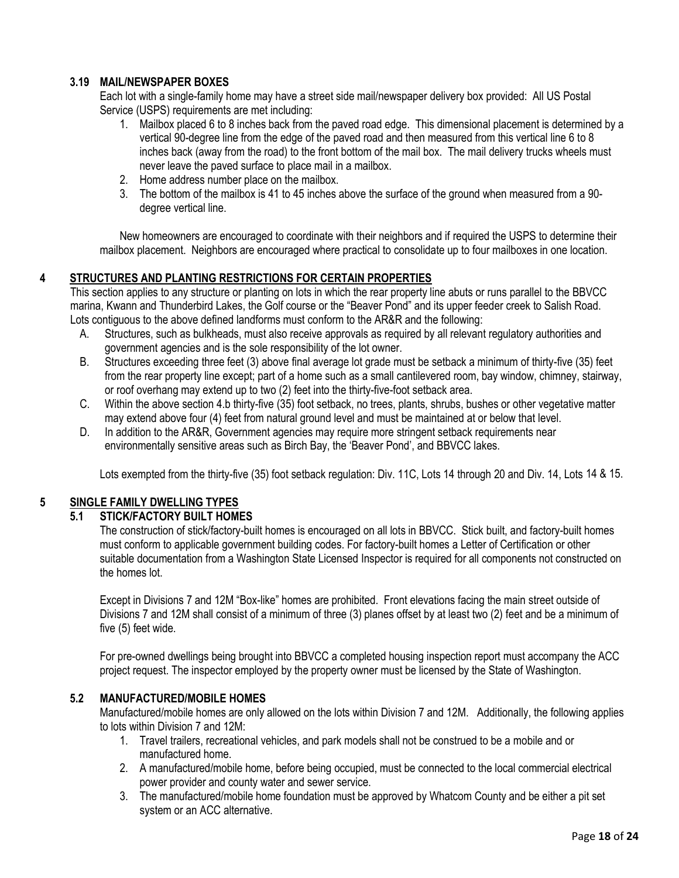### **3.19 MAIL/NEWSPAPER BOXES**

Each lot with a single-family home may have a street side mail/newspaper delivery box provided: All US Postal Service (USPS) requirements are met including:

- 1. Mailbox placed 6 to 8 inches back from the paved road edge. This dimensional placement is determined by a vertical 90-degree line from the edge of the paved road and then measured from this vertical line 6 to 8 inches back (away from the road) to the front bottom of the mail box. The mail delivery trucks wheels must never leave the paved surface to place mail in a mailbox.
- 2. Home address number place on the mailbox.
- 3. The bottom of the mailbox is 41 to 45 inches above the surface of the ground when measured from a 90 degree vertical line.

New homeowners are encouraged to coordinate with their neighbors and if required the USPS to determine their mailbox placement. Neighbors are encouraged where practical to consolidate up to four mailboxes in one location.

### **4 STRUCTURES AND PLANTING RESTRICTIONS FOR CERTAIN PROPERTIES**

This section applies to any structure or planting on lots in which the rear property line abuts or runs parallel to the BBVCC marina, Kwann and Thunderbird Lakes, the Golf course or the "Beaver Pond" and its upper feeder creek to Salish Road. Lots contiguous to the above defined landforms must conform to the AR&R and the following:

- A. Structures, such as bulkheads, must also receive approvals as required by all relevant regulatory authorities and government agencies and is the sole responsibility of the lot owner.
- B. Structures exceeding three feet (3) above final average lot grade must be setback a minimum of thirty-five (35) feet from the rear property line except; part of a home such as a small cantilevered room, bay window, chimney, stairway, or roof overhang may extend up to two (2) feet into the thirty-five-foot setback area.
- C. Within the above section 4.b thirty-five (35) foot setback, no trees, plants, shrubs, bushes or other vegetative matter may extend above four (4) feet from natural ground level and must be maintained at or below that level.
- D. In addition to the AR&R, Government agencies may require more stringent setback requirements near environmentally sensitive areas such as Birch Bay, the 'Beaver Pond', and BBVCC lakes.

Lots exempted from the thirty-five (35) foot setback regulation: Div. 11C, Lots 14 through 20 and Div. 14, Lots 14 & 15.

#### **5 SINGLE FAMILY DWELLING TYPES**

### **5.1 STICK/FACTORY BUILT HOMES**

The construction of stick/factory-built homes is encouraged on all lots in BBVCC. Stick built, and factory-built homes must conform to applicable government building codes. For factory-built homes a Letter of Certification or other suitable documentation from a Washington State Licensed Inspector is required for all components not constructed on the homes lot.

Except in Divisions 7 and 12M "Box-like" homes are prohibited. Front elevations facing the main street outside of Divisions 7 and 12M shall consist of a minimum of three (3) planes offset by at least two (2) feet and be a minimum of five (5) feet wide.

For pre-owned dwellings being brought into BBVCC a completed housing inspection report must accompany the ACC project request. The inspector employed by the property owner must be licensed by the State of Washington.

### **5.2 MANUFACTURED/MOBILE HOMES**

Manufactured/mobile homes are only allowed on the lots within Division 7 and 12M. Additionally, the following applies to lots within Division 7 and 12M:

- 1. Travel trailers, recreational vehicles, and park models shall not be construed to be a mobile and or manufactured home.
- 2. A manufactured/mobile home, before being occupied, must be connected to the local commercial electrical power provider and county water and sewer service.
- 3. The manufactured/mobile home foundation must be approved by Whatcom County and be either a pit set system or an ACC alternative.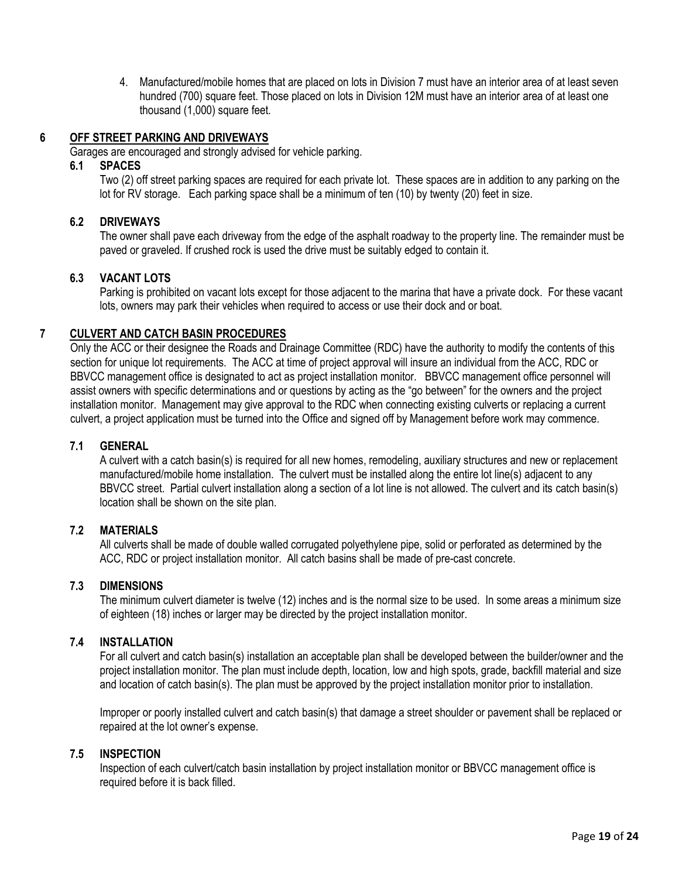4. Manufactured/mobile homes that are placed on lots in Division 7 must have an interior area of at least seven hundred (700) square feet. Those placed on lots in Division 12M must have an interior area of at least one thousand (1,000) square feet.

#### **6 OFF STREET PARKING AND DRIVEWAYS**

Garages are encouraged and strongly advised for vehicle parking.

#### **6.1 SPACES**

Two (2) off street parking spaces are required for each private lot. These spaces are in addition to any parking on the lot for RV storage. Each parking space shall be a minimum of ten (10) by twenty (20) feet in size.

#### **6.2 DRIVEWAYS**

The owner shall pave each driveway from the edge of the asphalt roadway to the property line. The remainder must be paved or graveled. If crushed rock is used the drive must be suitably edged to contain it.

#### **6.3 VACANT LOTS**

Parking is prohibited on vacant lots except for those adjacent to the marina that have a private dock. For these vacant lots, owners may park their vehicles when required to access or use their dock and or boat.

#### **7 CULVERT AND CATCH BASIN PROCEDURES**

Only the ACC or their designee the Roads and Drainage Committee (RDC) have the authority to modify the contents of this section for unique lot requirements. The ACC at time of project approval will insure an individual from the ACC, RDC or BBVCC management office is designated to act as project installation monitor. BBVCC management office personnel will assist owners with specific determinations and or questions by acting as the "go between" for the owners and the project installation monitor. Management may give approval to the RDC when connecting existing culverts or replacing a current culvert, a project application must be turned into the Office and signed off by Management before work may commence.

#### **7.1 GENERAL**

A culvert with a catch basin(s) is required for all new homes, remodeling, auxiliary structures and new or replacement manufactured/mobile home installation. The culvert must be installed along the entire lot line(s) adjacent to any BBVCC street. Partial culvert installation along a section of a lot line is not allowed. The culvert and its catch basin(s) location shall be shown on the site plan.

#### **7.2 MATERIALS**

All culverts shall be made of double walled corrugated polyethylene pipe, solid or perforated as determined by the ACC, RDC or project installation monitor. All catch basins shall be made of pre-cast concrete.

#### **7.3 DIMENSIONS**

The minimum culvert diameter is twelve (12) inches and is the normal size to be used. In some areas a minimum size of eighteen (18) inches or larger may be directed by the project installation monitor.

#### **7.4 INSTALLATION**

For all culvert and catch basin(s) installation an acceptable plan shall be developed between the builder/owner and the project installation monitor. The plan must include depth, location, low and high spots, grade, backfill material and size and location of catch basin(s). The plan must be approved by the project installation monitor prior to installation.

Improper or poorly installed culvert and catch basin(s) that damage a street shoulder or pavement shall be replaced or repaired at the lot owner's expense.

#### **7.5 INSPECTION**

Inspection of each culvert/catch basin installation by project installation monitor or BBVCC management office is required before it is back filled.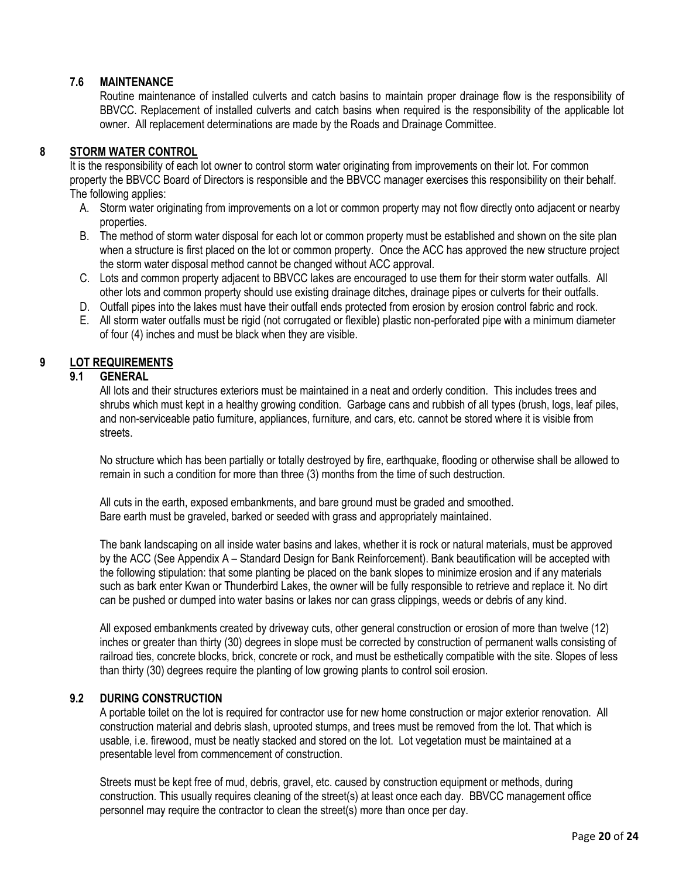#### **7.6 MAINTENANCE**

Routine maintenance of installed culverts and catch basins to maintain proper drainage flow is the responsibility of BBVCC. Replacement of installed culverts and catch basins when required is the responsibility of the applicable lot owner. All replacement determinations are made by the Roads and Drainage Committee.

### **8 STORM WATER CONTROL**

It is the responsibility of each lot owner to control storm water originating from improvements on their lot. For common property the BBVCC Board of Directors is responsible and the BBVCC manager exercises this responsibility on their behalf. The following applies:

- A. Storm water originating from improvements on a lot or common property may not flow directly onto adjacent or nearby properties.
- B. The method of storm water disposal for each lot or common property must be established and shown on the site plan when a structure is first placed on the lot or common property. Once the ACC has approved the new structure project the storm water disposal method cannot be changed without ACC approval.
- C. Lots and common property adjacent to BBVCC lakes are encouraged to use them for their storm water outfalls. All other lots and common property should use existing drainage ditches, drainage pipes or culverts for their outfalls.
- D. Outfall pipes into the lakes must have their outfall ends protected from erosion by erosion control fabric and rock.
- E. All storm water outfalls must be rigid (not corrugated or flexible) plastic non-perforated pipe with a minimum diameter of four (4) inches and must be black when they are visible.

#### **9 LOT REQUIREMENTS**

#### **9.1 GENERAL**

All lots and their structures exteriors must be maintained in a neat and orderly condition. This includes trees and shrubs which must kept in a healthy growing condition. Garbage cans and rubbish of all types (brush, logs, leaf piles, and non-serviceable patio furniture, appliances, furniture, and cars, etc. cannot be stored where it is visible from streets.

No structure which has been partially or totally destroyed by fire, earthquake, flooding or otherwise shall be allowed to remain in such a condition for more than three (3) months from the time of such destruction.

All cuts in the earth, exposed embankments, and bare ground must be graded and smoothed. Bare earth must be graveled, barked or seeded with grass and appropriately maintained.

The bank landscaping on all inside water basins and lakes, whether it is rock or natural materials, must be approved by the ACC (See Appendix A – Standard Design for Bank Reinforcement). Bank beautification will be accepted with the following stipulation: that some planting be placed on the bank slopes to minimize erosion and if any materials such as bark enter Kwan or Thunderbird Lakes, the owner will be fully responsible to retrieve and replace it. No dirt can be pushed or dumped into water basins or lakes nor can grass clippings, weeds or debris of any kind.

All exposed embankments created by driveway cuts, other general construction or erosion of more than twelve (12) inches or greater than thirty (30) degrees in slope must be corrected by construction of permanent walls consisting of railroad ties, concrete blocks, brick, concrete or rock, and must be esthetically compatible with the site. Slopes of less than thirty (30) degrees require the planting of low growing plants to control soil erosion.

#### **9.2 DURING CONSTRUCTION**

A portable toilet on the lot is required for contractor use for new home construction or major exterior renovation. All construction material and debris slash, uprooted stumps, and trees must be removed from the lot. That which is usable, i.e. firewood, must be neatly stacked and stored on the lot. Lot vegetation must be maintained at a presentable level from commencement of construction.

Streets must be kept free of mud, debris, gravel, etc. caused by construction equipment or methods, during construction. This usually requires cleaning of the street(s) at least once each day. BBVCC management office personnel may require the contractor to clean the street(s) more than once per day.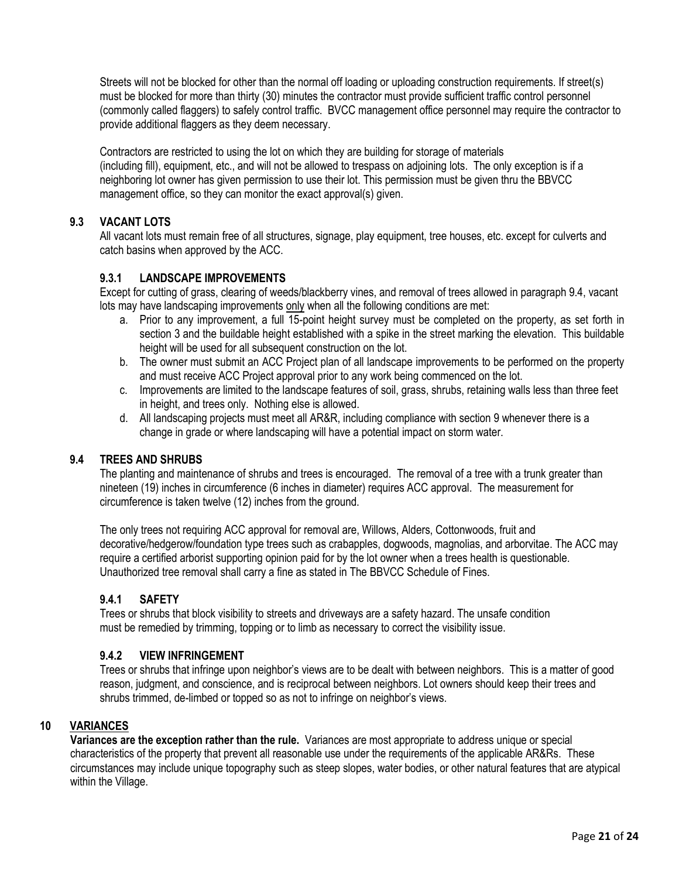Streets will not be blocked for other than the normal off loading or uploading construction requirements. If street(s) must be blocked for more than thirty (30) minutes the contractor must provide sufficient traffic control personnel (commonly called flaggers) to safely control traffic. BVCC management office personnel may require the contractor to provide additional flaggers as they deem necessary.

Contractors are restricted to using the lot on which they are building for storage of materials (including fill), equipment, etc., and will not be allowed to trespass on adjoining lots. The only exception is if a neighboring lot owner has given permission to use their lot. This permission must be given thru the BBVCC management office, so they can monitor the exact approval(s) given.

# **9.3 VACANT LOTS**

All vacant lots must remain free of all structures, signage, play equipment, tree houses, etc. except for culverts and catch basins when approved by the ACC.

### **9.3.1 LANDSCAPE IMPROVEMENTS**

Except for cutting of grass, clearing of weeds/blackberry vines, and removal of trees allowed in paragraph 9.4, vacant lots may have landscaping improvements only when all the following conditions are met:

- a. Prior to any improvement, a full 15-point height survey must be completed on the property, as set forth in section 3 and the buildable height established with a spike in the street marking the elevation. This buildable height will be used for all subsequent construction on the lot.
- b. The owner must submit an ACC Project plan of all landscape improvements to be performed on the property and must receive ACC Project approval prior to any work being commenced on the lot.
- c. Improvements are limited to the landscape features of soil, grass, shrubs, retaining walls less than three feet in height, and trees only. Nothing else is allowed.
- d. All landscaping projects must meet all AR&R, including compliance with section 9 whenever there is a change in grade or where landscaping will have a potential impact on storm water.

### **9.4 TREES AND SHRUBS**

The planting and maintenance of shrubs and trees is encouraged. The removal of a tree with a trunk greater than nineteen (19) inches in circumference (6 inches in diameter) requires ACC approval. The measurement for circumference is taken twelve (12) inches from the ground.

The only trees not requiring ACC approval for removal are, Willows, Alders, Cottonwoods, fruit and decorative/hedgerow/foundation type trees such as crabapples, dogwoods, magnolias, and arborvitae. The ACC may require a certified arborist supporting opinion paid for by the lot owner when a trees health is questionable. Unauthorized tree removal shall carry a fine as stated in The BBVCC Schedule of Fines.

### **9.4.1 SAFETY**

Trees or shrubs that block visibility to streets and driveways are a safety hazard. The unsafe condition must be remedied by trimming, topping or to limb as necessary to correct the visibility issue.

#### **9.4.2 VIEW INFRINGEMENT**

Trees or shrubs that infringe upon neighbor's views are to be dealt with between neighbors. This is a matter of good reason, judgment, and conscience, and is reciprocal between neighbors. Lot owners should keep their trees and shrubs trimmed, de-limbed or topped so as not to infringe on neighbor's views.

#### **10 VARIANCES**

**Variances are the exception rather than the rule.** Variances are most appropriate to address unique or special characteristics of the property that prevent all reasonable use under the requirements of the applicable AR&Rs. These circumstances may include unique topography such as steep slopes, water bodies, or other natural features that are atypical within the Village.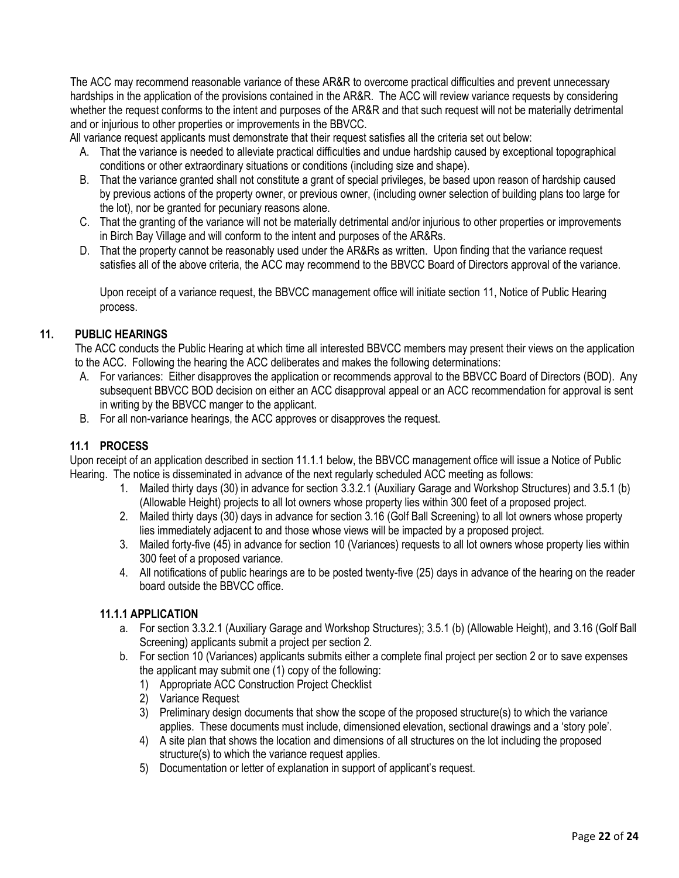The ACC may recommend reasonable variance of these AR&R to overcome practical difficulties and prevent unnecessary hardships in the application of the provisions contained in the AR&R. The ACC will review variance requests by considering whether the request conforms to the intent and purposes of the AR&R and that such request will not be materially detrimental and or injurious to other properties or improvements in the BBVCC.

All variance request applicants must demonstrate that their request satisfies all the criteria set out below:

- A. That the variance is needed to alleviate practical difficulties and undue hardship caused by exceptional topographical conditions or other extraordinary situations or conditions (including size and shape).
- B. That the variance granted shall not constitute a grant of special privileges, be based upon reason of hardship caused by previous actions of the property owner, or previous owner, (including owner selection of building plans too large for the lot), nor be granted for pecuniary reasons alone.
- C. That the granting of the variance will not be materially detrimental and/or injurious to other properties or improvements in Birch Bay Village and will conform to the intent and purposes of the AR&Rs.
- D. That the property cannot be reasonably used under the AR&Rs as written. Upon finding that the variance request satisfies all of the above criteria, the ACC may recommend to the BBVCC Board of Directors approval of the variance.

Upon receipt of a variance request, the BBVCC management office will initiate section 11, Notice of Public Hearing process.

# **11. PUBLIC HEARINGS**

The ACC conducts the Public Hearing at which time all interested BBVCC members may present their views on the application to the ACC. Following the hearing the ACC deliberates and makes the following determinations:

- A. For variances: Either disapproves the application or recommends approval to the BBVCC Board of Directors (BOD). Any subsequent BBVCC BOD decision on either an ACC disapproval appeal or an ACC recommendation for approval is sent in writing by the BBVCC manger to the applicant.
- B. For all non-variance hearings, the ACC approves or disapproves the request.

### **11.1 PROCESS**

Upon receipt of an application described in section 11.1.1 below, the BBVCC management office will issue a Notice of Public Hearing. The notice is disseminated in advance of the next regularly scheduled ACC meeting as follows:

- 1. Mailed thirty days (30) in advance for section 3.3.2.1 (Auxiliary Garage and Workshop Structures) and 3.5.1 (b) (Allowable Height) projects to all lot owners whose property lies within 300 feet of a proposed project.
- 2. Mailed thirty days (30) days in advance for section 3.16 (Golf Ball Screening) to all lot owners whose property lies immediately adjacent to and those whose views will be impacted by a proposed project.
- 3. Mailed forty-five (45) in advance for section 10 (Variances) requests to all lot owners whose property lies within 300 feet of a proposed variance.
- 4. All notifications of public hearings are to be posted twenty-five (25) days in advance of the hearing on the reader board outside the BBVCC office.

### **11.1.1 APPLICATION**

- a. For section 3.3.2.1 (Auxiliary Garage and Workshop Structures); 3.5.1 (b) (Allowable Height), and 3.16 (Golf Ball Screening) applicants submit a project per section 2.
- b. For section 10 (Variances) applicants submits either a complete final project per section 2 or to save expenses the applicant may submit one (1) copy of the following:
	- 1) Appropriate ACC Construction Project Checklist
	- 2) Variance Request
	- 3) Preliminary design documents that show the scope of the proposed structure(s) to which the variance applies. These documents must include, dimensioned elevation, sectional drawings and a 'story pole'.
	- 4) A site plan that shows the location and dimensions of all structures on the lot including the proposed structure(s) to which the variance request applies.
	- 5) Documentation or letter of explanation in support of applicant's request.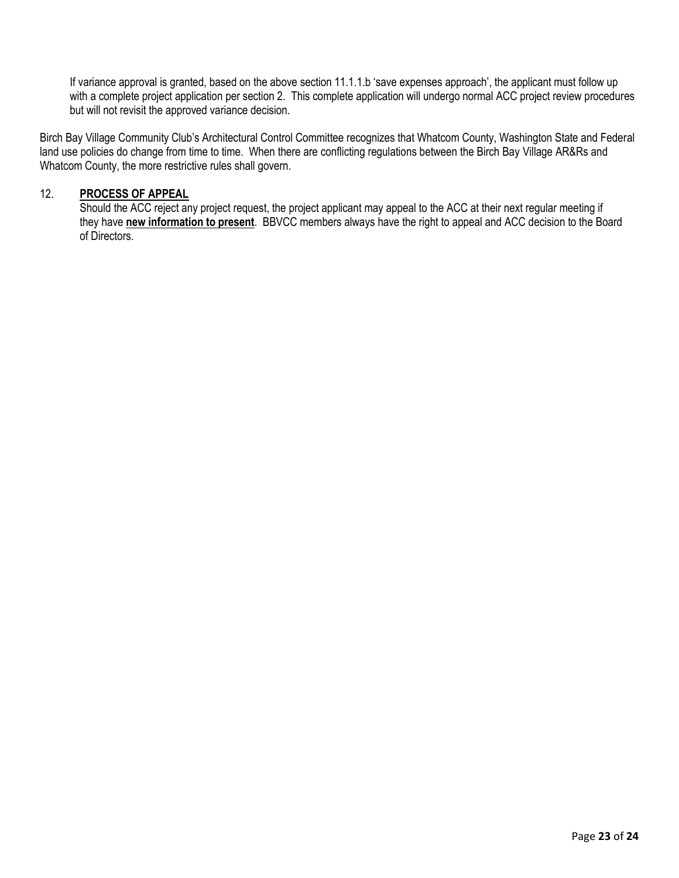If variance approval is granted, based on the above section 11.1.1.b 'save expenses approach', the applicant must follow up with a complete project application per section 2. This complete application will undergo normal ACC project review procedures but will not revisit the approved variance decision.

Birch Bay Village Community Club's Architectural Control Committee recognizes that Whatcom County, Washington State and Federal land use policies do change from time to time. When there are conflicting regulations between the Birch Bay Village AR&Rs and Whatcom County, the more restrictive rules shall govern.

#### 12. **PROCESS OF APPEAL**

Should the ACC reject any project request, the project applicant may appeal to the ACC at their next regular meeting if they have **new information to present**. BBVCC members always have the right to appeal and ACC decision to the Board of Directors.